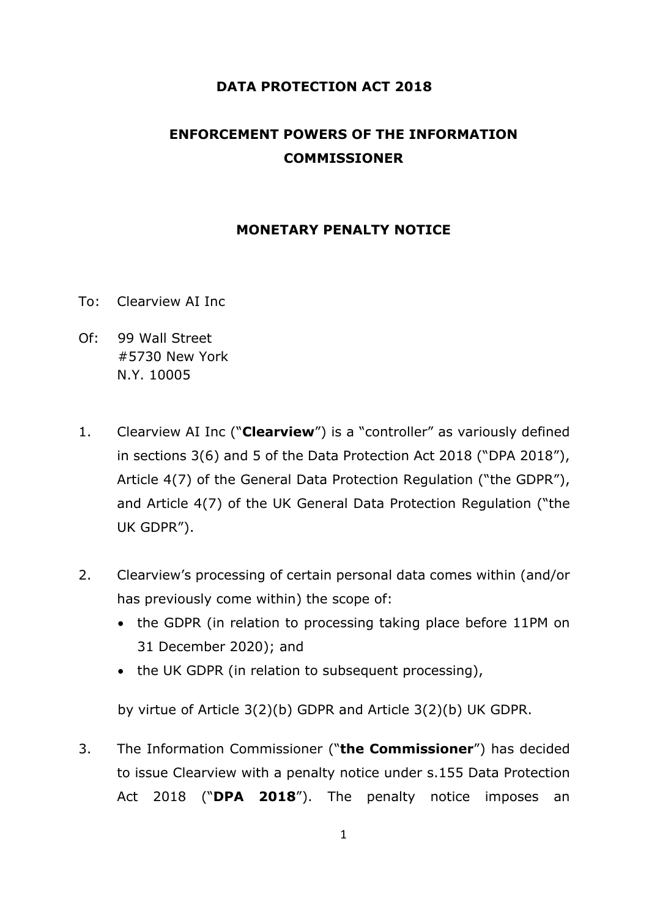### **DATA PROTECTION ACT 2018**

# **ENFORCEMENT POWERS OF THE INFORMATION COMMISSIONER**

#### **MONETARY PENALTY NOTICE**

- To: Clearview AI Inc
- Of: 99 Wall Street #5730 New York N.Y. 10005
- 1. Clearview AI Inc ("**Clearview**") is a "controller" as variously defined in sections 3(6) and 5 of the Data Protection Act 2018 ("DPA 2018"), Article 4(7) of the General Data Protection Regulation ("the GDPR"), and Article 4(7) of the UK General Data Protection Regulation ("the UK GDPR").
- 2. Clearview's processing of certain personal data comes within (and/or has previously come within) the scope of:
	- the GDPR (in relation to processing taking place before 11PM on 31 December 2020); and
	- the UK GDPR (in relation to subsequent processing),

by virtue of Article 3(2)(b) GDPR and Article 3(2)(b) UK GDPR.

3. The Information Commissioner ("**the Commissioner**") has decided to issue Clearview with a penalty notice under s.155 Data Protection Act 2018 ("**DPA 2018**"). The penalty notice imposes an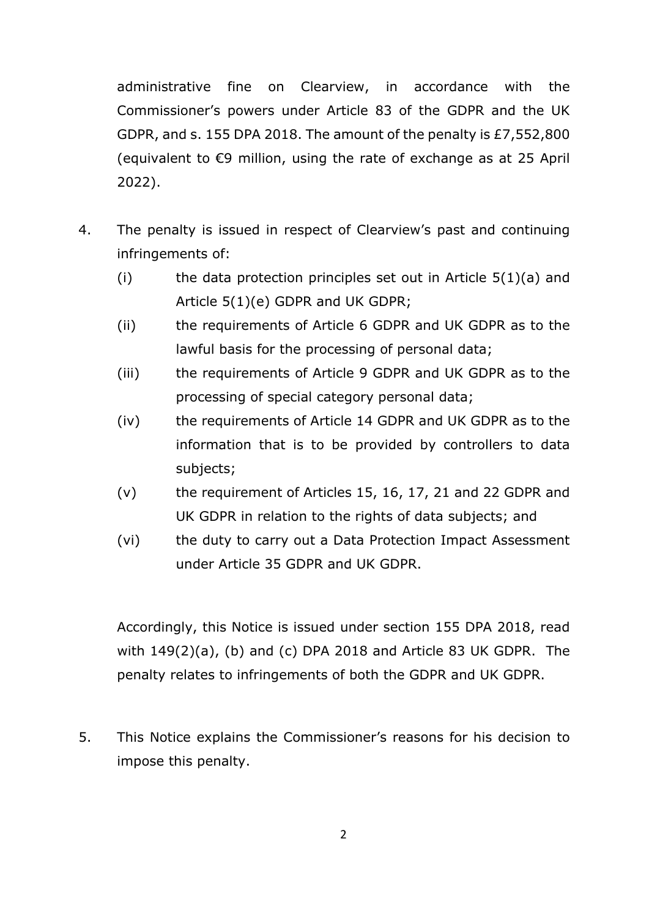administrative fine on Clearview, in accordance with the Commissioner's powers under Article 83 of the GDPR and the UK GDPR, and s. 155 DPA 2018. The amount of the penalty is £7,552,800 (equivalent to €9 million, using the rate of exchange as at 25 April 2022).

- 4. The penalty is issued in respect of Clearview's past and continuing infringements of:
	- (i) the data protection principles set out in Article  $5(1)(a)$  and Article 5(1)(e) GDPR and UK GDPR;
	- (ii) the requirements of Article 6 GDPR and UK GDPR as to the lawful basis for the processing of personal data;
	- (iii) the requirements of Article 9 GDPR and UK GDPR as to the processing of special category personal data;
	- (iv) the requirements of Article 14 GDPR and UK GDPR as to the information that is to be provided by controllers to data subjects;
	- (v) the requirement of Articles 15, 16, 17, 21 and 22 GDPR and UK GDPR in relation to the rights of data subjects; and
	- (vi) the duty to carry out a Data Protection Impact Assessment under Article 35 GDPR and UK GDPR.

Accordingly, this Notice is issued under section 155 DPA 2018, read with 149(2)(a), (b) and (c) DPA 2018 and Article 83 UK GDPR. The penalty relates to infringements of both the GDPR and UK GDPR.

5. This Notice explains the Commissioner's reasons for his decision to impose this penalty.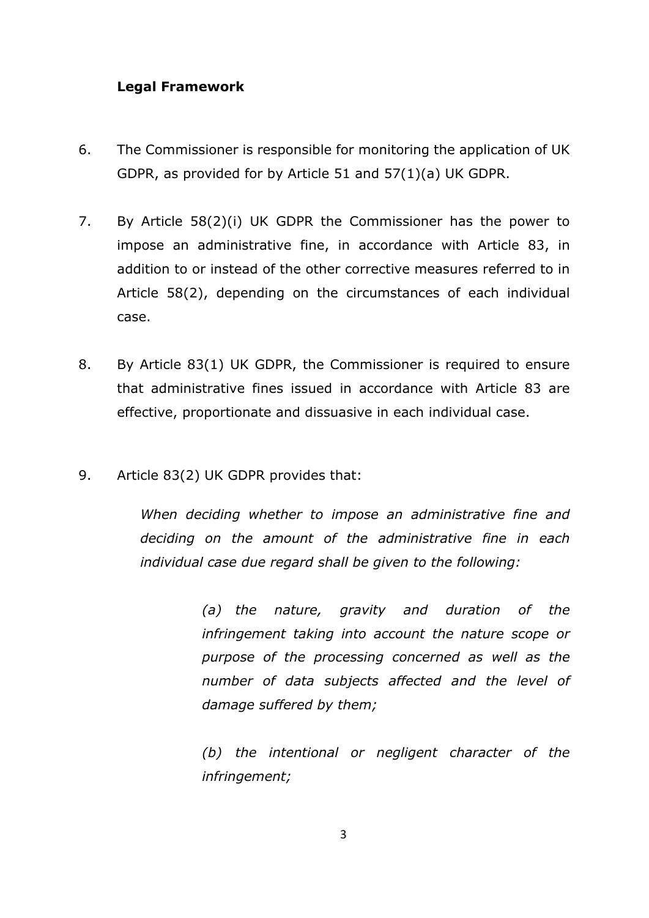### **Legal Framework**

- 6. The Commissioner is responsible for monitoring the application of UK GDPR, as provided for by Article 51 and 57(1)(a) UK GDPR.
- 7. By Article 58(2)(i) UK GDPR the Commissioner has the power to impose an administrative fine, in accordance with Article 83, in addition to or instead of the other corrective measures referred to in Article 58(2), depending on the circumstances of each individual case.
- 8. By Article 83(1) UK GDPR, the Commissioner is required to ensure that administrative fines issued in accordance with Article 83 are effective, proportionate and dissuasive in each individual case.
- 9. Article 83(2) UK GDPR provides that:

*When deciding whether to impose an administrative fine and deciding on the amount of the administrative fine in each individual case due regard shall be given to the following:* 

> *(a) the nature, gravity and duration of the infringement taking into account the nature scope or purpose of the processing concerned as well as the number of data subjects affected and the level of damage suffered by them;*

> *(b) the intentional or negligent character of the infringement;*

> > 3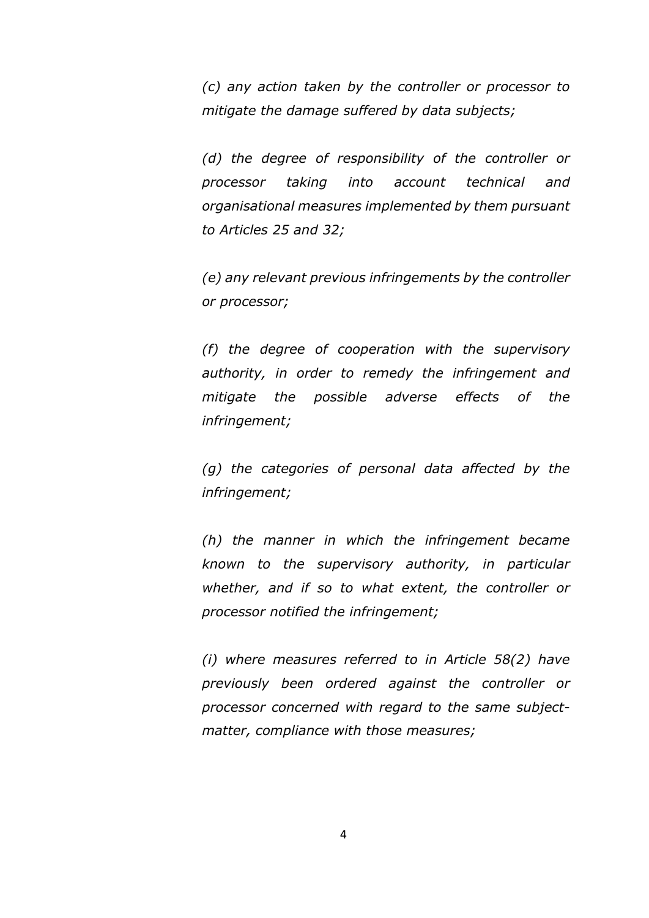*(c) any action taken by the controller or processor to mitigate the damage suffered by data subjects;*

*(d) the degree of responsibility of the controller or processor taking into account technical and organisational measures implemented by them pursuant to Articles 25 and 32;* 

*(e) any relevant previous infringements by the controller or processor;* 

*(f) the degree of cooperation with the supervisory authority, in order to remedy the infringement and mitigate the possible adverse effects of the infringement;* 

*(g) the categories of personal data affected by the infringement;* 

*(h) the manner in which the infringement became known to the supervisory authority, in particular whether, and if so to what extent, the controller or processor notified the infringement;*

*(i) where measures referred to in Article 58(2) have previously been ordered against the controller or processor concerned with regard to the same subjectmatter, compliance with those measures;*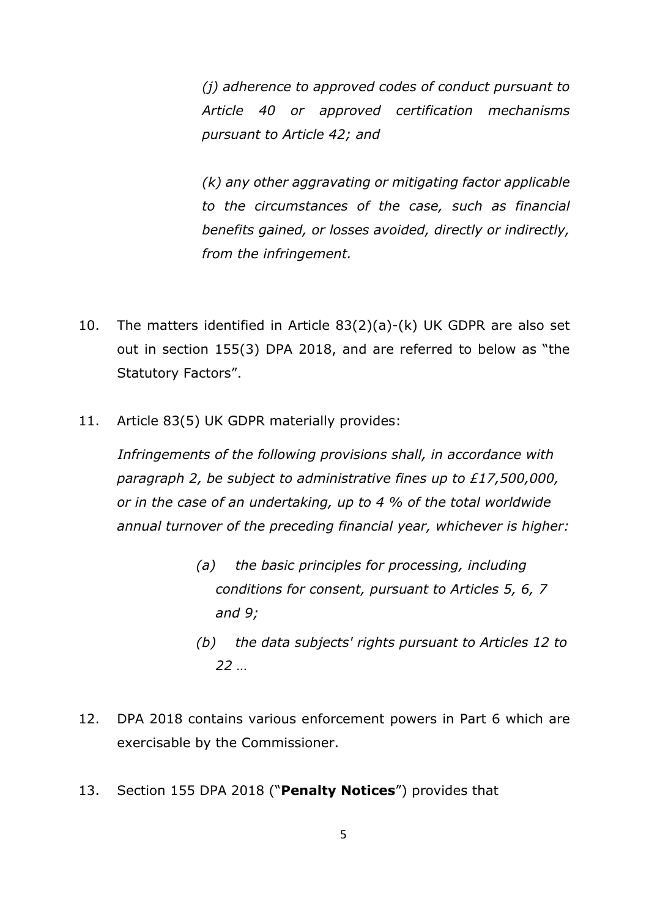*(j) adherence to approved codes of conduct pursuant to Article 40 or approved certification mechanisms pursuant to Article 42; and* 

*(k) any other aggravating or mitigating factor applicable to the circumstances of the case, such as financial benefits gained, or losses avoided, directly or indirectly, from the infringement.* 

- 10. The matters identified in Article 83(2)(a)-(k) UK GDPR are also set out in section 155(3) DPA 2018, and are referred to below as "the Statutory Factors".
- 11. Article 83(5) UK GDPR materially provides:

*Infringements of the following provisions shall, in accordance with paragraph 2, be subject to administrative fines up to £17,500,000, or in the case of an undertaking, up to 4 % of the total worldwide annual turnover of the preceding financial year, whichever is higher:*

- *(a) the basic principles for processing, including conditions for consent, pursuant to Articles 5, 6, 7 and 9;*
- *(b) the data subjects' rights pursuant to Articles 12 to 22 …*
- 12. DPA 2018 contains various enforcement powers in Part 6 which are exercisable by the Commissioner.
- 13. Section 155 DPA 2018 ("**Penalty Notices**") provides that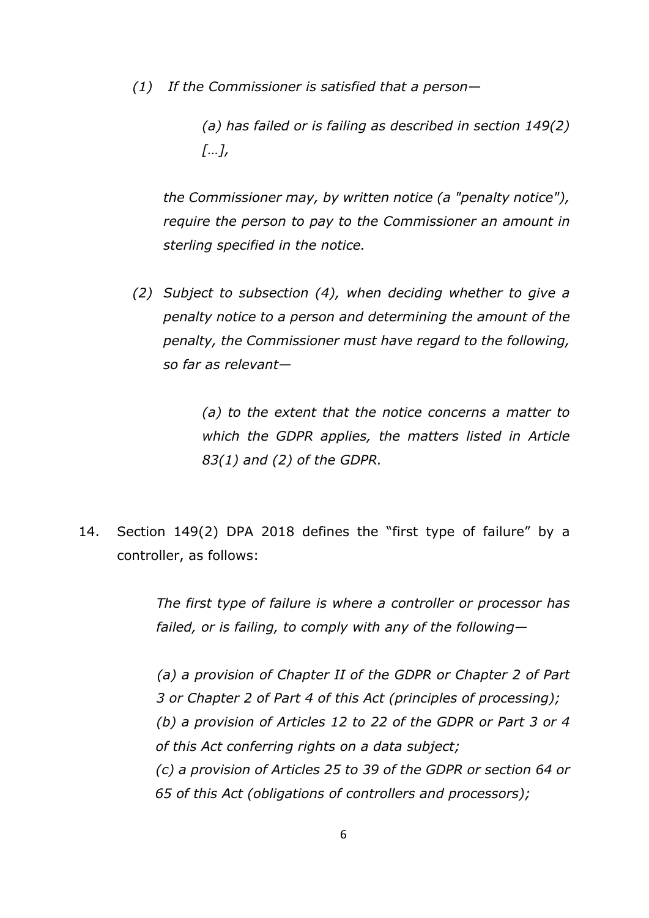*(1) If the Commissioner is satisfied that a person—*

*(a) has failed or is failing as described in section 149(2) […],*

*the Commissioner may, by written notice (a "penalty notice"), require the person to pay to the Commissioner an amount in sterling specified in the notice.*

*(2) Subject to subsection (4), when deciding whether to give a penalty notice to a person and determining the amount of the penalty, the Commissioner must have regard to the following, so far as relevant—*

> *(a) to the extent that the notice concerns a matter to which the GDPR applies, the matters listed in Article 83(1) and (2) of the GDPR.*

14. Section 149(2) DPA 2018 defines the "first type of failure" by a controller, as follows:

> *The first type of failure is where a controller or processor has failed, or is failing, to comply with any of the following—*

> *(a) a provision of Chapter II of the GDPR or Chapter 2 of Part 3 or Chapter 2 of Part 4 of this Act (principles of processing); (b) a provision of Articles 12 to 22 of the GDPR or Part 3 or 4 of this Act conferring rights on a data subject; (c) a provision of Articles 25 to 39 of the GDPR or section 64 or 65 of this Act (obligations of controllers and processors);*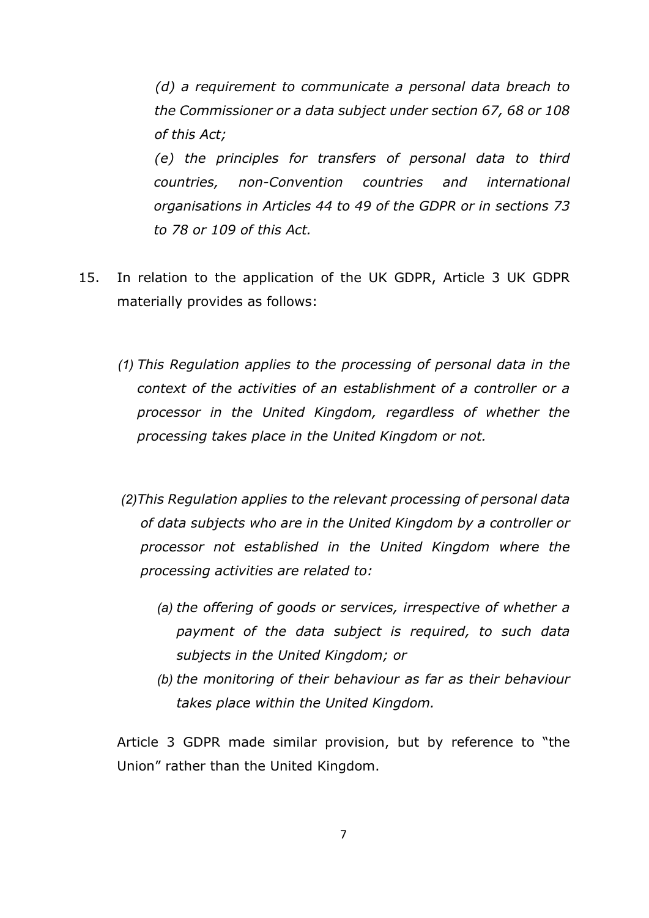*(d) a requirement to communicate a personal data breach to the Commissioner or a data subject under section 67, 68 or 108 of this Act;*

*(e) the principles for transfers of personal data to third countries, non-Convention countries and international organisations in Articles 44 to 49 of the GDPR or in sections 73 to 78 or 109 of this Act.*

- 15. In relation to the application of the UK GDPR, Article 3 UK GDPR materially provides as follows:
	- *(1) This Regulation applies to the processing of personal data in the context of the activities of an establishment of a controller or a processor in the United Kingdom, regardless of whether the processing takes place in the United Kingdom or not.*
	- *(2)This Regulation applies to the relevant processing of personal data of data subjects who are in the United Kingdom by a controller or processor not established in the United Kingdom where the processing activities are related to:*
		- *(a) the offering of goods or services, irrespective of whether a payment of the data subject is required, to such data subjects in the United Kingdom; or*
		- *(b) the monitoring of their behaviour as far as their behaviour takes place within the United Kingdom.*

Article 3 GDPR made similar provision, but by reference to "the Union" rather than the United Kingdom.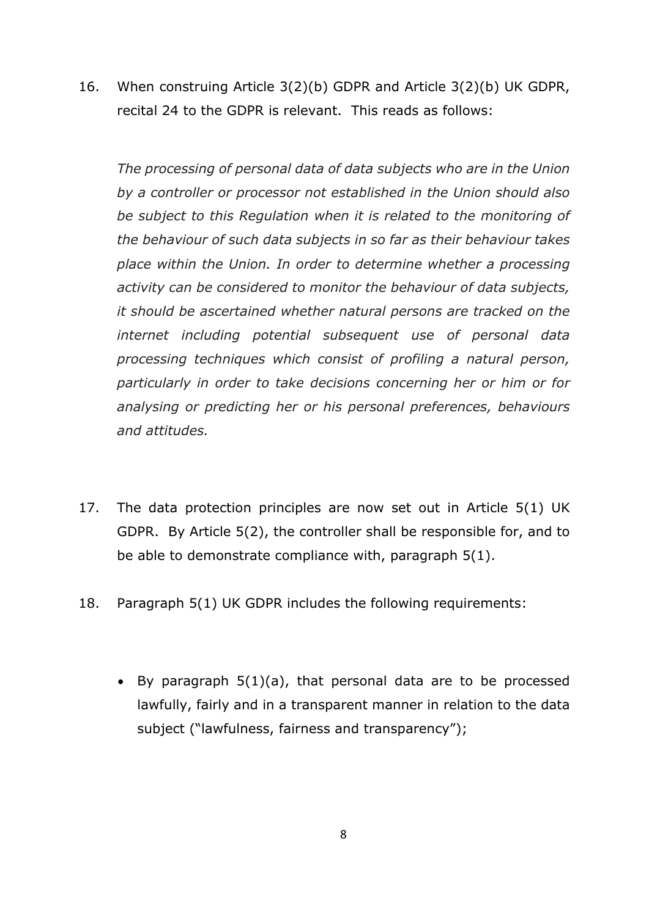16. When construing Article 3(2)(b) GDPR and Article 3(2)(b) UK GDPR, recital 24 to the GDPR is relevant. This reads as follows:

*The processing of personal data of data subjects who are in the Union by a controller or processor not established in the Union should also be subject to this Regulation when it is related to the monitoring of the behaviour of such data subjects in so far as their behaviour takes place within the Union. In order to determine whether a processing activity can be considered to monitor the behaviour of data subjects, it should be ascertained whether natural persons are tracked on the internet including potential subsequent use of personal data processing techniques which consist of profiling a natural person, particularly in order to take decisions concerning her or him or for analysing or predicting her or his personal preferences, behaviours and attitudes.*

- 17. The data protection principles are now set out in Article 5(1) UK GDPR. By Article 5(2), the controller shall be responsible for, and to be able to demonstrate compliance with, paragraph 5(1).
- 18. Paragraph 5(1) UK GDPR includes the following requirements:
	- By paragraph 5(1)(a), that personal data are to be processed lawfully, fairly and in a transparent manner in relation to the data subject ("lawfulness, fairness and transparency");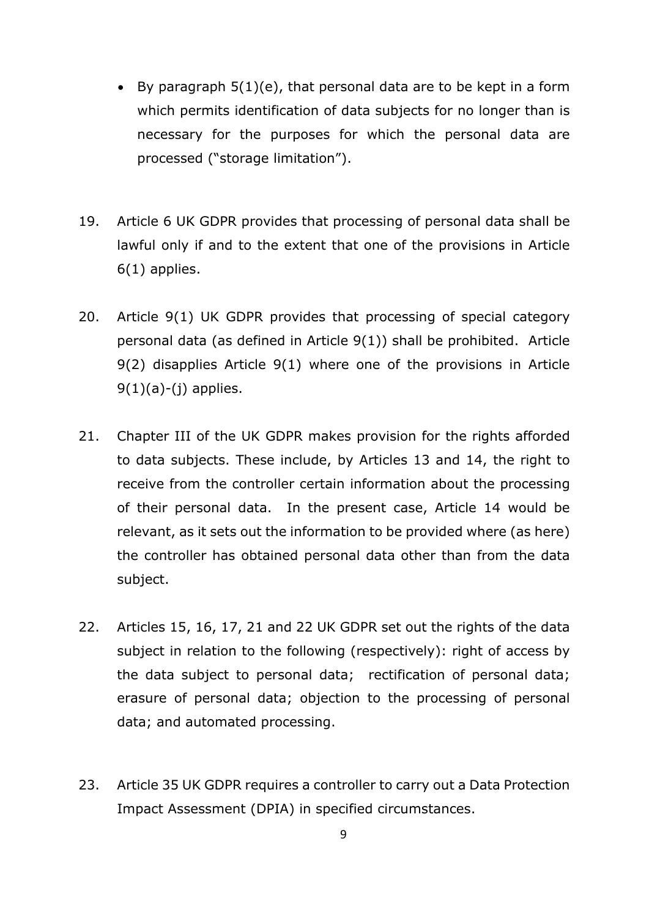- By paragraph  $5(1)(e)$ , that personal data are to be kept in a form which permits identification of data subjects for no longer than is necessary for the purposes for which the personal data are processed ("storage limitation").
- 19. Article 6 UK GDPR provides that processing of personal data shall be lawful only if and to the extent that one of the provisions in Article 6(1) applies.
- 20. Article 9(1) UK GDPR provides that processing of special category personal data (as defined in Article 9(1)) shall be prohibited. Article 9(2) disapplies Article 9(1) where one of the provisions in Article  $9(1)(a)-(i)$  applies.
- 21. Chapter III of the UK GDPR makes provision for the rights afforded to data subjects. These include, by Articles 13 and 14, the right to receive from the controller certain information about the processing of their personal data. In the present case, Article 14 would be relevant, as it sets out the information to be provided where (as here) the controller has obtained personal data other than from the data subject.
- 22. Articles 15, 16, 17, 21 and 22 UK GDPR set out the rights of the data subject in relation to the following (respectively): right of access by the data subject to personal data; rectification of personal data; erasure of personal data; objection to the processing of personal data; and automated processing.
- 23. Article 35 UK GDPR requires a controller to carry out a Data Protection Impact Assessment (DPIA) in specified circumstances.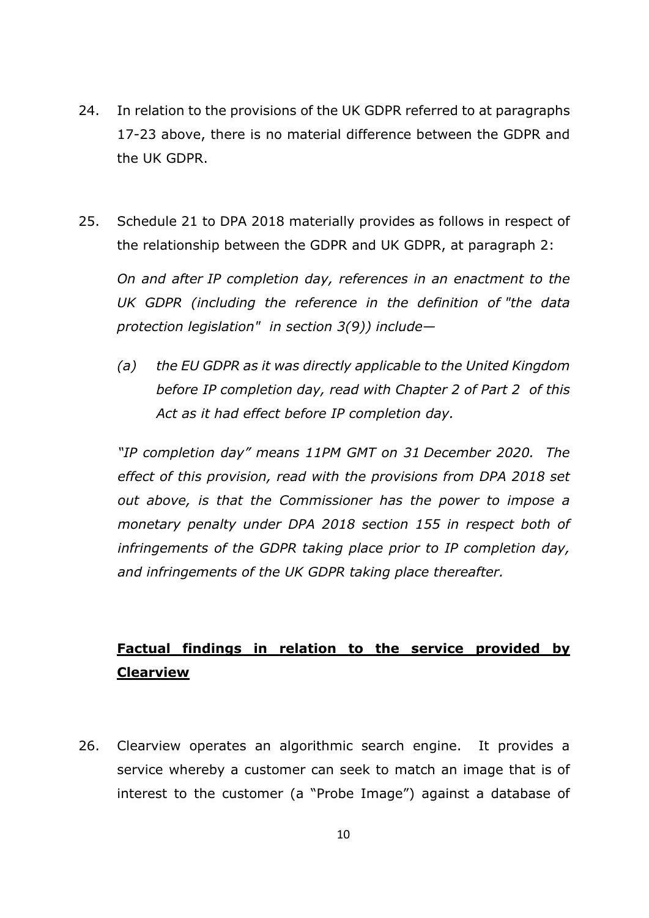- 24. In relation to the provisions of the UK GDPR referred to at paragraphs 17-23 above, there is no material difference between the GDPR and the UK GDPR.
- 25. Schedule 21 to DPA 2018 materially provides as follows in respect of the relationship between the GDPR and UK GDPR, at paragraph 2:

*On and after IP completion day, references in an enactment to the UK GDPR (including the reference in the definition of "the data protection legislation" in section 3(9)) include—*

*(a) the EU GDPR as it was directly applicable to the United Kingdom before IP completion day, read with Chapter 2 of Part 2 of this Act as it had effect before IP completion day.*

*"IP completion day" means 11PM GMT on 31 December 2020. The effect of this provision, read with the provisions from DPA 2018 set out above, is that the Commissioner has the power to impose a monetary penalty under DPA 2018 section 155 in respect both of infringements of the GDPR taking place prior to IP completion day, and infringements of the UK GDPR taking place thereafter.*

## **Factual findings in relation to the service provided by Clearview**

26. Clearview operates an algorithmic search engine. It provides a service whereby a customer can seek to match an image that is of interest to the customer (a "Probe Image") against a database of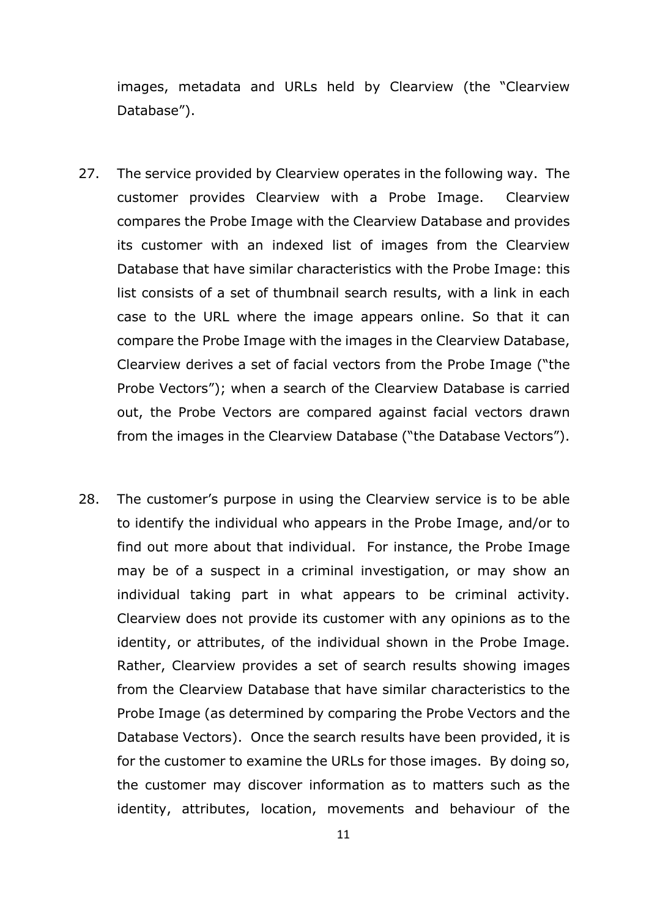images, metadata and URLs held by Clearview (the "Clearview Database").

- 27. The service provided by Clearview operates in the following way. The customer provides Clearview with a Probe Image. Clearview compares the Probe Image with the Clearview Database and provides its customer with an indexed list of images from the Clearview Database that have similar characteristics with the Probe Image: this list consists of a set of thumbnail search results, with a link in each case to the URL where the image appears online. So that it can compare the Probe Image with the images in the Clearview Database, Clearview derives a set of facial vectors from the Probe Image ("the Probe Vectors"); when a search of the Clearview Database is carried out, the Probe Vectors are compared against facial vectors drawn from the images in the Clearview Database ("the Database Vectors").
- 28. The customer's purpose in using the Clearview service is to be able to identify the individual who appears in the Probe Image, and/or to find out more about that individual. For instance, the Probe Image may be of a suspect in a criminal investigation, or may show an individual taking part in what appears to be criminal activity. Clearview does not provide its customer with any opinions as to the identity, or attributes, of the individual shown in the Probe Image. Rather, Clearview provides a set of search results showing images from the Clearview Database that have similar characteristics to the Probe Image (as determined by comparing the Probe Vectors and the Database Vectors). Once the search results have been provided, it is for the customer to examine the URLs for those images. By doing so, the customer may discover information as to matters such as the identity, attributes, location, movements and behaviour of the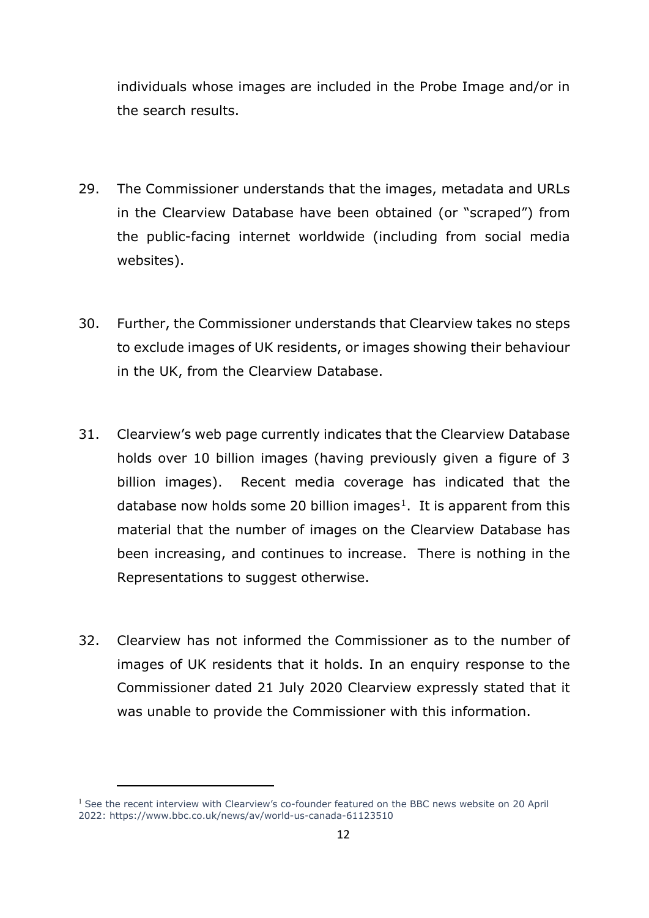individuals whose images are included in the Probe Image and/or in the search results.

- 29. The Commissioner understands that the images, metadata and URLs in the Clearview Database have been obtained (or "scraped") from the public-facing internet worldwide (including from social media websites).
- 30. Further, the Commissioner understands that Clearview takes no steps to exclude images of UK residents, or images showing their behaviour in the UK, from the Clearview Database.
- 31. Clearview's web page currently indicates that the Clearview Database holds over 10 billion images (having previously given a figure of 3 billion images). Recent media coverage has indicated that the database now holds some 20 billion images<sup>1</sup>. It is apparent from this material that the number of images on the Clearview Database has been increasing, and continues to increase. There is nothing in the Representations to suggest otherwise.
- 32. Clearview has not informed the Commissioner as to the number of images of UK residents that it holds. In an enquiry response to the Commissioner dated 21 July 2020 Clearview expressly stated that it was unable to provide the Commissioner with this information.

<span id="page-11-0"></span><sup>&</sup>lt;sup>1</sup> See the recent interview with Clearview's co-founder featured on the BBC news website on 20 April 2022:<https://www.bbc.co.uk/news/av/world-us-canada-61123510>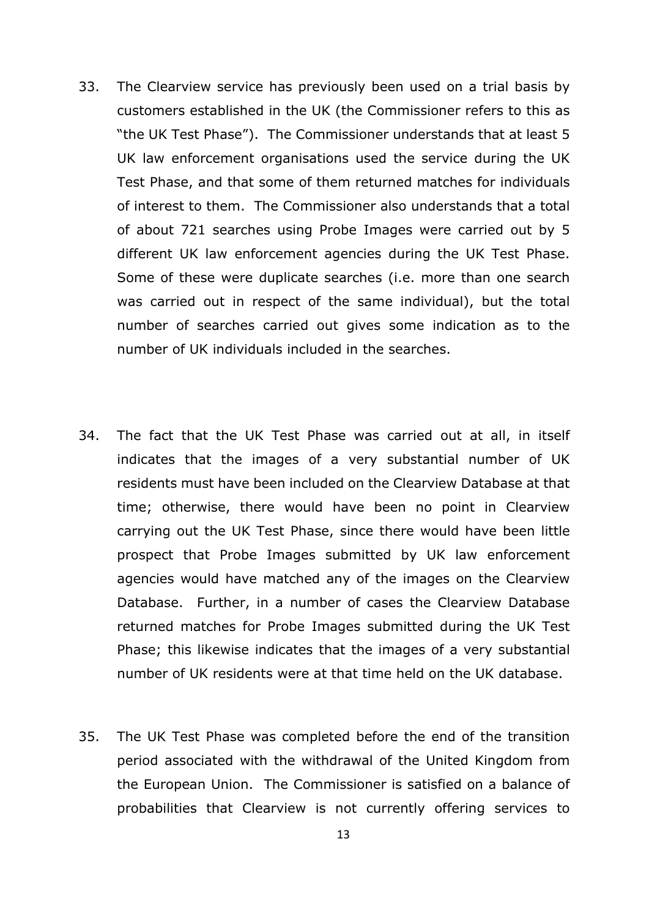- 33. The Clearview service has previously been used on a trial basis by customers established in the UK (the Commissioner refers to this as "the UK Test Phase"). The Commissioner understands that at least 5 UK law enforcement organisations used the service during the UK Test Phase, and that some of them returned matches for individuals of interest to them. The Commissioner also understands that a total of about 721 searches using Probe Images were carried out by 5 different UK law enforcement agencies during the UK Test Phase. Some of these were duplicate searches (i.e. more than one search was carried out in respect of the same individual), but the total number of searches carried out gives some indication as to the number of UK individuals included in the searches.
- 34. The fact that the UK Test Phase was carried out at all, in itself indicates that the images of a very substantial number of UK residents must have been included on the Clearview Database at that time; otherwise, there would have been no point in Clearview carrying out the UK Test Phase, since there would have been little prospect that Probe Images submitted by UK law enforcement agencies would have matched any of the images on the Clearview Database. Further, in a number of cases the Clearview Database returned matches for Probe Images submitted during the UK Test Phase; this likewise indicates that the images of a very substantial number of UK residents were at that time held on the UK database.
- 35. The UK Test Phase was completed before the end of the transition period associated with the withdrawal of the United Kingdom from the European Union. The Commissioner is satisfied on a balance of probabilities that Clearview is not currently offering services to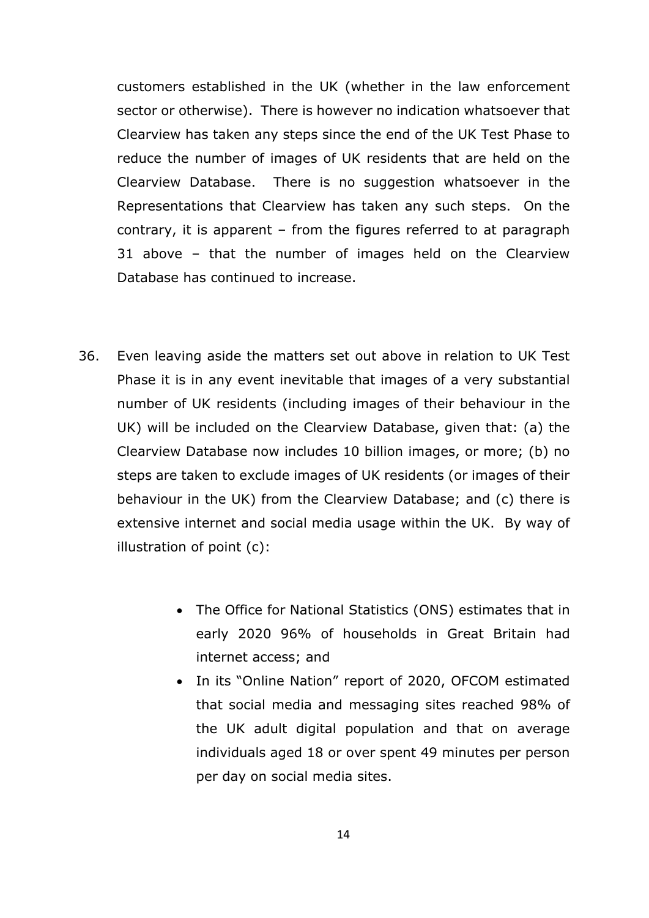customers established in the UK (whether in the law enforcement sector or otherwise). There is however no indication whatsoever that Clearview has taken any steps since the end of the UK Test Phase to reduce the number of images of UK residents that are held on the Clearview Database. There is no suggestion whatsoever in the Representations that Clearview has taken any such steps. On the contrary, it is apparent – from the figures referred to at paragraph 31 above – that the number of images held on the Clearview Database has continued to increase.

- 36. Even leaving aside the matters set out above in relation to UK Test Phase it is in any event inevitable that images of a very substantial number of UK residents (including images of their behaviour in the UK) will be included on the Clearview Database, given that: (a) the Clearview Database now includes 10 billion images, or more; (b) no steps are taken to exclude images of UK residents (or images of their behaviour in the UK) from the Clearview Database; and (c) there is extensive internet and social media usage within the UK. By way of illustration of point (c):
	- The Office for National Statistics (ONS) estimates that in early 2020 96% of households in Great Britain had internet access; and
	- In its "Online Nation" report of 2020, OFCOM estimated that social media and messaging sites reached 98% of the UK adult digital population and that on average individuals aged 18 or over spent 49 minutes per person per day on social media sites.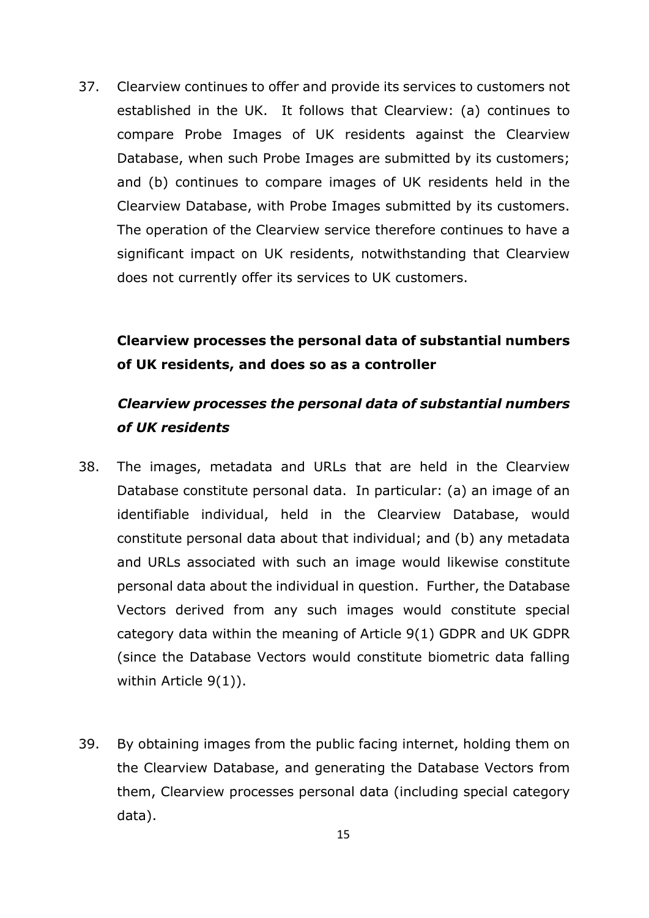37. Clearview continues to offer and provide its services to customers not established in the UK. It follows that Clearview: (a) continues to compare Probe Images of UK residents against the Clearview Database, when such Probe Images are submitted by its customers; and (b) continues to compare images of UK residents held in the Clearview Database, with Probe Images submitted by its customers. The operation of the Clearview service therefore continues to have a significant impact on UK residents, notwithstanding that Clearview does not currently offer its services to UK customers.

### **Clearview processes the personal data of substantial numbers of UK residents, and does so as a controller**

## *Clearview processes the personal data of substantial numbers of UK residents*

- 38. The images, metadata and URLs that are held in the Clearview Database constitute personal data. In particular: (a) an image of an identifiable individual, held in the Clearview Database, would constitute personal data about that individual; and (b) any metadata and URLs associated with such an image would likewise constitute personal data about the individual in question. Further, the Database Vectors derived from any such images would constitute special category data within the meaning of Article 9(1) GDPR and UK GDPR (since the Database Vectors would constitute biometric data falling within Article 9(1)).
- 39. By obtaining images from the public facing internet, holding them on the Clearview Database, and generating the Database Vectors from them, Clearview processes personal data (including special category data).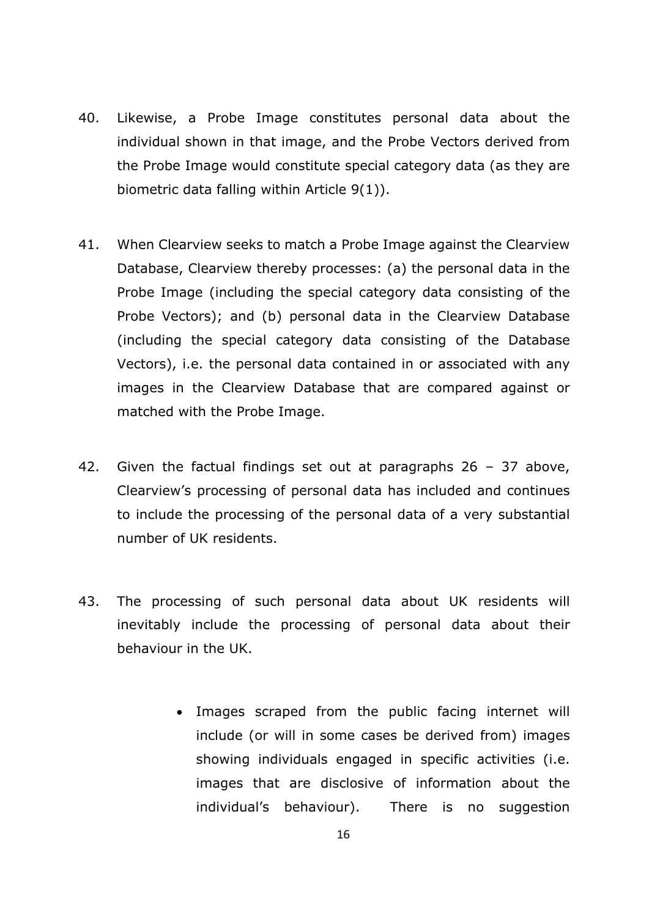- 40. Likewise, a Probe Image constitutes personal data about the individual shown in that image, and the Probe Vectors derived from the Probe Image would constitute special category data (as they are biometric data falling within Article 9(1)).
- 41. When Clearview seeks to match a Probe Image against the Clearview Database, Clearview thereby processes: (a) the personal data in the Probe Image (including the special category data consisting of the Probe Vectors); and (b) personal data in the Clearview Database (including the special category data consisting of the Database Vectors), i.e. the personal data contained in or associated with any images in the Clearview Database that are compared against or matched with the Probe Image.
- 42. Given the factual findings set out at paragraphs 26 37 above, Clearview's processing of personal data has included and continues to include the processing of the personal data of a very substantial number of UK residents.
- 43. The processing of such personal data about UK residents will inevitably include the processing of personal data about their behaviour in the UK.
	- Images scraped from the public facing internet will include (or will in some cases be derived from) images showing individuals engaged in specific activities (i.e. images that are disclosive of information about the individual's behaviour). There is no suggestion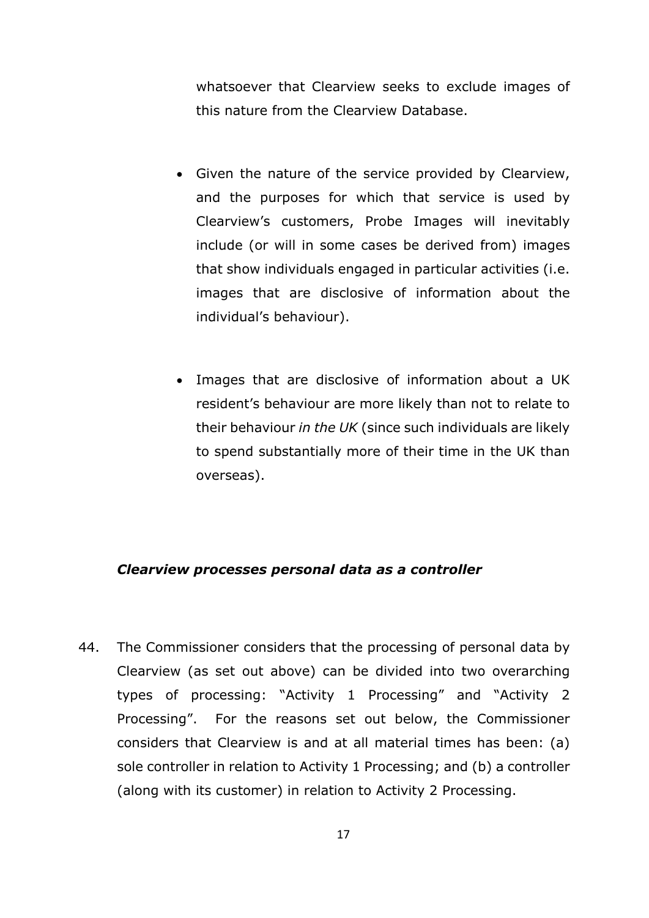whatsoever that Clearview seeks to exclude images of this nature from the Clearview Database.

- Given the nature of the service provided by Clearview, and the purposes for which that service is used by Clearview's customers, Probe Images will inevitably include (or will in some cases be derived from) images that show individuals engaged in particular activities (i.e. images that are disclosive of information about the individual's behaviour).
- Images that are disclosive of information about a UK resident's behaviour are more likely than not to relate to their behaviour *in the UK* (since such individuals are likely to spend substantially more of their time in the UK than overseas).

### *Clearview processes personal data as a controller*

44. The Commissioner considers that the processing of personal data by Clearview (as set out above) can be divided into two overarching types of processing: "Activity 1 Processing" and "Activity 2 Processing". For the reasons set out below, the Commissioner considers that Clearview is and at all material times has been: (a) sole controller in relation to Activity 1 Processing; and (b) a controller (along with its customer) in relation to Activity 2 Processing.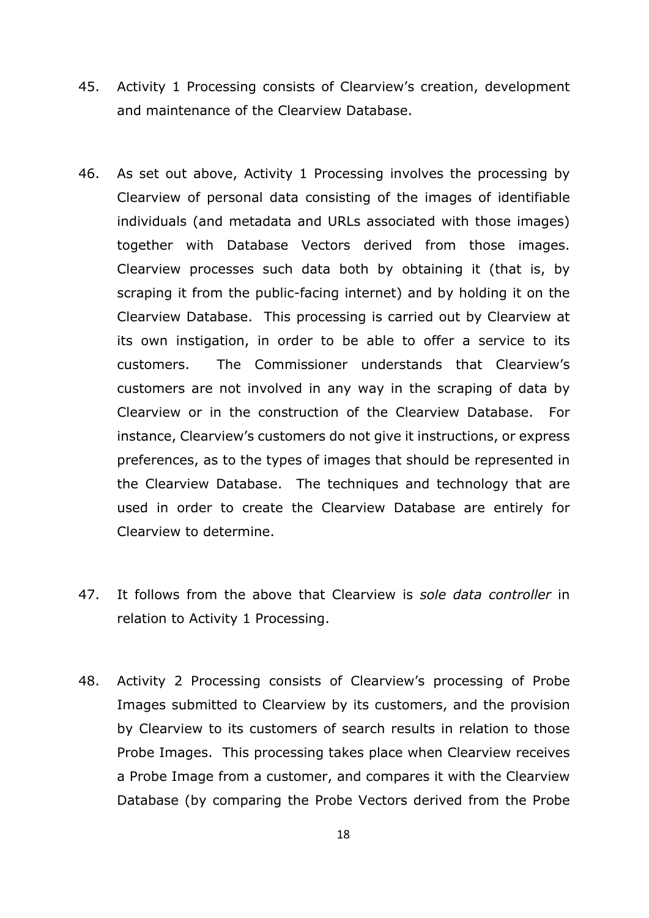- 45. Activity 1 Processing consists of Clearview's creation, development and maintenance of the Clearview Database.
- 46. As set out above, Activity 1 Processing involves the processing by Clearview of personal data consisting of the images of identifiable individuals (and metadata and URLs associated with those images) together with Database Vectors derived from those images. Clearview processes such data both by obtaining it (that is, by scraping it from the public-facing internet) and by holding it on the Clearview Database. This processing is carried out by Clearview at its own instigation, in order to be able to offer a service to its customers. The Commissioner understands that Clearview's customers are not involved in any way in the scraping of data by Clearview or in the construction of the Clearview Database. For instance, Clearview's customers do not give it instructions, or express preferences, as to the types of images that should be represented in the Clearview Database. The techniques and technology that are used in order to create the Clearview Database are entirely for Clearview to determine.
- 47. It follows from the above that Clearview is *sole data controller* in relation to Activity 1 Processing.
- 48. Activity 2 Processing consists of Clearview's processing of Probe Images submitted to Clearview by its customers, and the provision by Clearview to its customers of search results in relation to those Probe Images. This processing takes place when Clearview receives a Probe Image from a customer, and compares it with the Clearview Database (by comparing the Probe Vectors derived from the Probe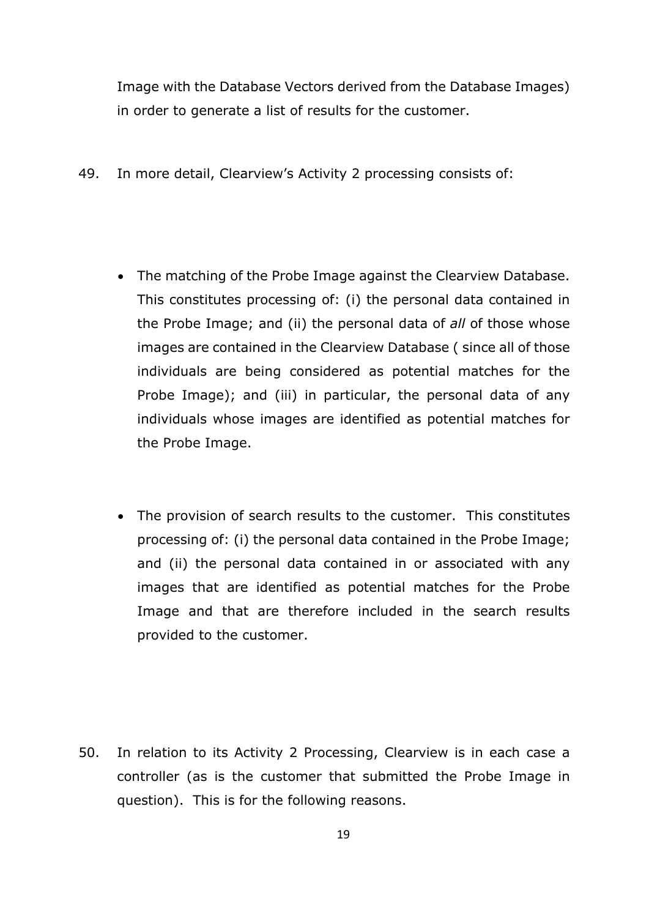Image with the Database Vectors derived from the Database Images) in order to generate a list of results for the customer.

- 49. In more detail, Clearview's Activity 2 processing consists of:
	- The matching of the Probe Image against the Clearview Database. This constitutes processing of: (i) the personal data contained in the Probe Image; and (ii) the personal data of *all* of those whose images are contained in the Clearview Database ( since all of those individuals are being considered as potential matches for the Probe Image); and (iii) in particular, the personal data of any individuals whose images are identified as potential matches for the Probe Image.
	- The provision of search results to the customer. This constitutes processing of: (i) the personal data contained in the Probe Image; and (ii) the personal data contained in or associated with any images that are identified as potential matches for the Probe Image and that are therefore included in the search results provided to the customer.

50. In relation to its Activity 2 Processing, Clearview is in each case a controller (as is the customer that submitted the Probe Image in question). This is for the following reasons.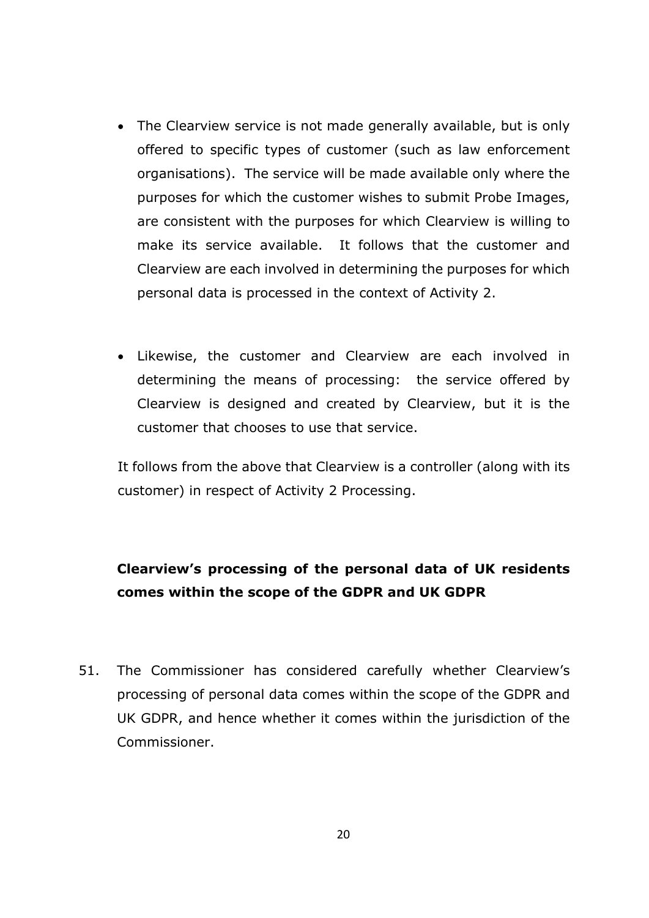- The Clearview service is not made generally available, but is only offered to specific types of customer (such as law enforcement organisations). The service will be made available only where the purposes for which the customer wishes to submit Probe Images, are consistent with the purposes for which Clearview is willing to make its service available. It follows that the customer and Clearview are each involved in determining the purposes for which personal data is processed in the context of Activity 2.
- Likewise, the customer and Clearview are each involved in determining the means of processing: the service offered by Clearview is designed and created by Clearview, but it is the customer that chooses to use that service.

It follows from the above that Clearview is a controller (along with its customer) in respect of Activity 2 Processing.

## **Clearview's processing of the personal data of UK residents comes within the scope of the GDPR and UK GDPR**

51. The Commissioner has considered carefully whether Clearview's processing of personal data comes within the scope of the GDPR and UK GDPR, and hence whether it comes within the jurisdiction of the Commissioner.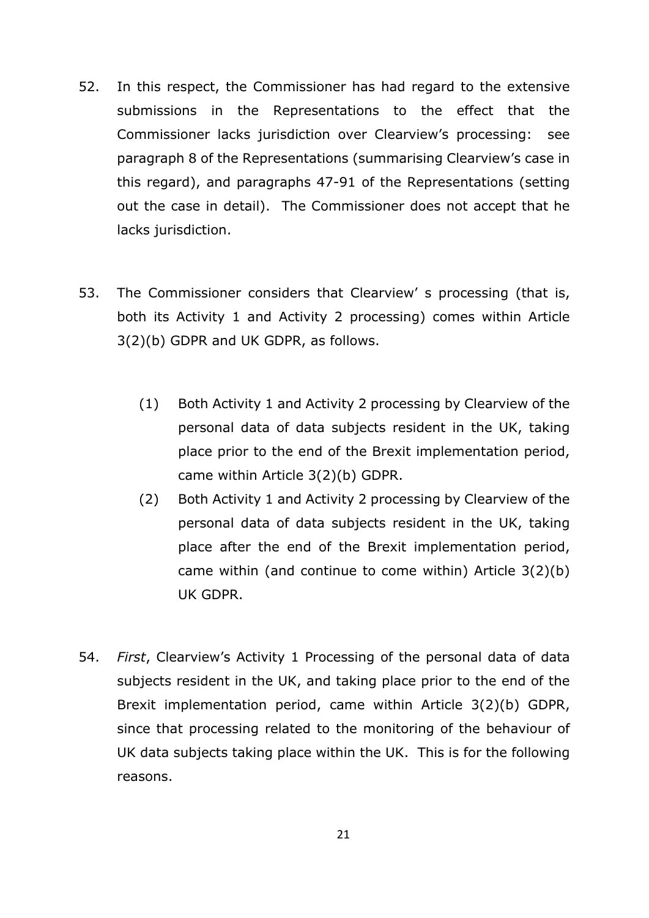- 52. In this respect, the Commissioner has had regard to the extensive submissions in the Representations to the effect that the Commissioner lacks jurisdiction over Clearview's processing: see paragraph 8 of the Representations (summarising Clearview's case in this regard), and paragraphs 47-91 of the Representations (setting out the case in detail). The Commissioner does not accept that he lacks jurisdiction.
- 53. The Commissioner considers that Clearview' s processing (that is, both its Activity 1 and Activity 2 processing) comes within Article 3(2)(b) GDPR and UK GDPR, as follows.
	- (1) Both Activity 1 and Activity 2 processing by Clearview of the personal data of data subjects resident in the UK, taking place prior to the end of the Brexit implementation period, came within Article 3(2)(b) GDPR.
	- (2) Both Activity 1 and Activity 2 processing by Clearview of the personal data of data subjects resident in the UK, taking place after the end of the Brexit implementation period, came within (and continue to come within) Article 3(2)(b) UK GDPR.
- 54. *First*, Clearview's Activity 1 Processing of the personal data of data subjects resident in the UK, and taking place prior to the end of the Brexit implementation period, came within Article 3(2)(b) GDPR, since that processing related to the monitoring of the behaviour of UK data subjects taking place within the UK. This is for the following reasons.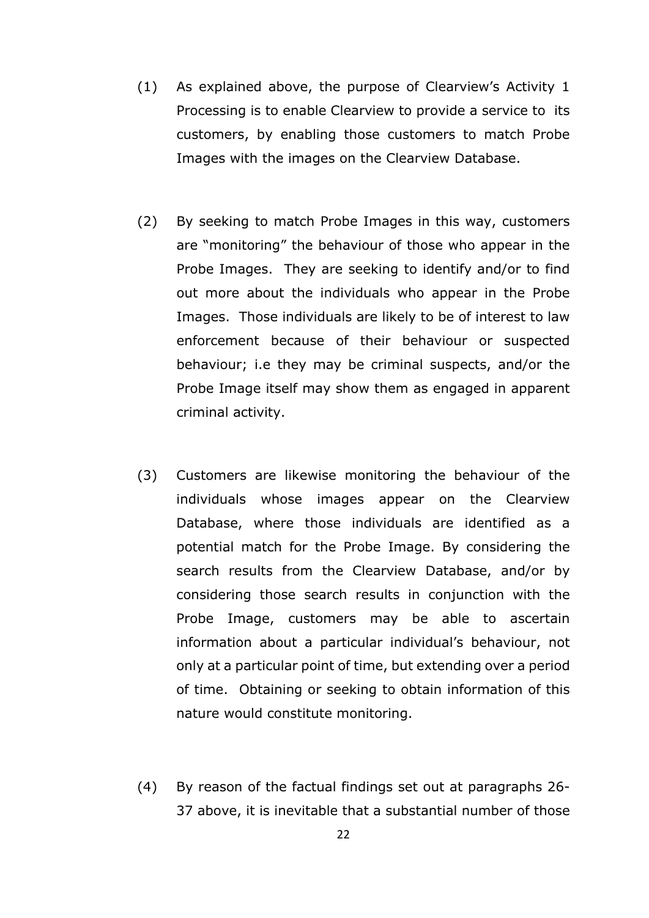- (1) As explained above, the purpose of Clearview's Activity 1 Processing is to enable Clearview to provide a service to its customers, by enabling those customers to match Probe Images with the images on the Clearview Database.
- (2) By seeking to match Probe Images in this way, customers are "monitoring" the behaviour of those who appear in the Probe Images. They are seeking to identify and/or to find out more about the individuals who appear in the Probe Images. Those individuals are likely to be of interest to law enforcement because of their behaviour or suspected behaviour; i.e they may be criminal suspects, and/or the Probe Image itself may show them as engaged in apparent criminal activity.
- (3) Customers are likewise monitoring the behaviour of the individuals whose images appear on the Clearview Database, where those individuals are identified as a potential match for the Probe Image. By considering the search results from the Clearview Database, and/or by considering those search results in conjunction with the Probe Image, customers may be able to ascertain information about a particular individual's behaviour, not only at a particular point of time, but extending over a period of time. Obtaining or seeking to obtain information of this nature would constitute monitoring.
- (4) By reason of the factual findings set out at paragraphs 26- 37 above, it is inevitable that a substantial number of those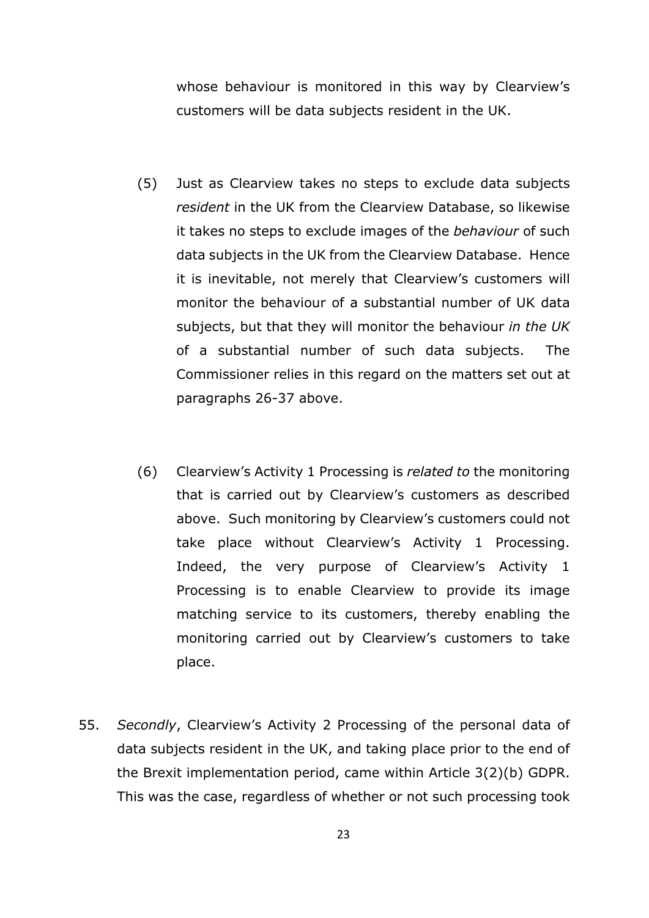whose behaviour is monitored in this way by Clearview's customers will be data subjects resident in the UK.

- (5) Just as Clearview takes no steps to exclude data subjects *resident* in the UK from the Clearview Database, so likewise it takes no steps to exclude images of the *behaviour* of such data subjects in the UK from the Clearview Database. Hence it is inevitable, not merely that Clearview's customers will monitor the behaviour of a substantial number of UK data subjects, but that they will monitor the behaviour *in the UK* of a substantial number of such data subjects. The Commissioner relies in this regard on the matters set out at paragraphs 26-37 above.
- (6) Clearview's Activity 1 Processing is *related to* the monitoring that is carried out by Clearview's customers as described above. Such monitoring by Clearview's customers could not take place without Clearview's Activity 1 Processing. Indeed, the very purpose of Clearview's Activity 1 Processing is to enable Clearview to provide its image matching service to its customers, thereby enabling the monitoring carried out by Clearview's customers to take place.
- 55. *Secondly*, Clearview's Activity 2 Processing of the personal data of data subjects resident in the UK, and taking place prior to the end of the Brexit implementation period, came within Article 3(2)(b) GDPR. This was the case, regardless of whether or not such processing took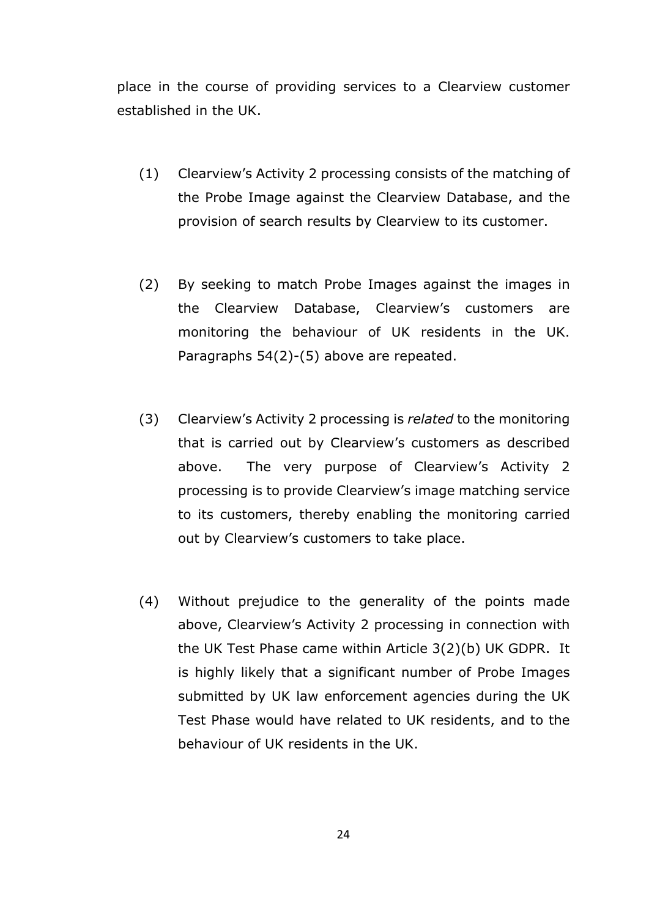place in the course of providing services to a Clearview customer established in the UK.

- (1) Clearview's Activity 2 processing consists of the matching of the Probe Image against the Clearview Database, and the provision of search results by Clearview to its customer.
- (2) By seeking to match Probe Images against the images in the Clearview Database, Clearview's customers are monitoring the behaviour of UK residents in the UK. Paragraphs 54(2)-(5) above are repeated.
- (3) Clearview's Activity 2 processing is *related* to the monitoring that is carried out by Clearview's customers as described above. The very purpose of Clearview's Activity 2 processing is to provide Clearview's image matching service to its customers, thereby enabling the monitoring carried out by Clearview's customers to take place.
- (4) Without prejudice to the generality of the points made above, Clearview's Activity 2 processing in connection with the UK Test Phase came within Article 3(2)(b) UK GDPR. It is highly likely that a significant number of Probe Images submitted by UK law enforcement agencies during the UK Test Phase would have related to UK residents, and to the behaviour of UK residents in the UK.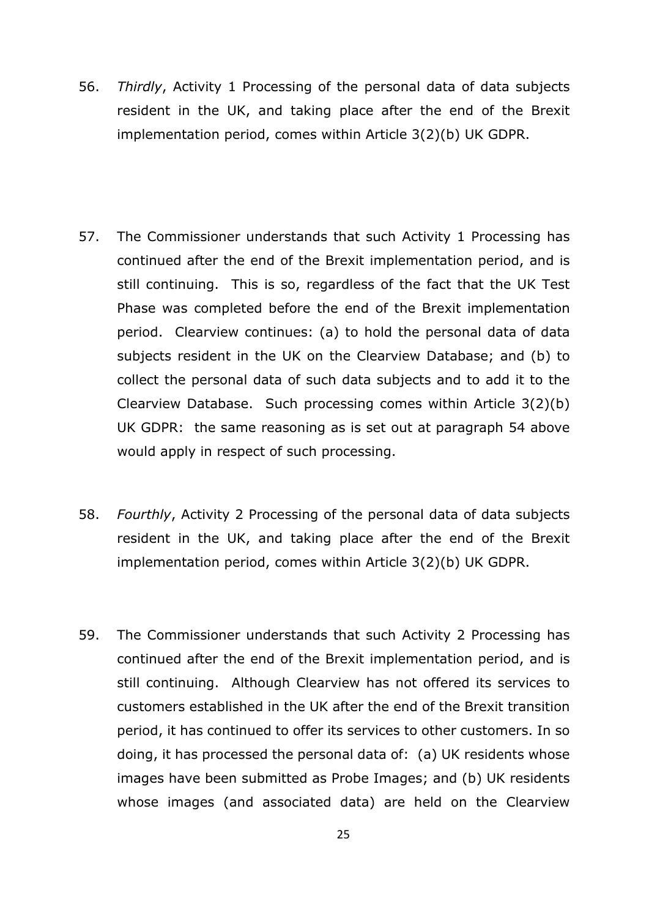- 56. *Thirdly*, Activity 1 Processing of the personal data of data subjects resident in the UK, and taking place after the end of the Brexit implementation period, comes within Article 3(2)(b) UK GDPR.
- 57. The Commissioner understands that such Activity 1 Processing has continued after the end of the Brexit implementation period, and is still continuing. This is so, regardless of the fact that the UK Test Phase was completed before the end of the Brexit implementation period. Clearview continues: (a) to hold the personal data of data subjects resident in the UK on the Clearview Database; and (b) to collect the personal data of such data subjects and to add it to the Clearview Database. Such processing comes within Article 3(2)(b) UK GDPR: the same reasoning as is set out at paragraph 54 above would apply in respect of such processing.
- 58. *Fourthly*, Activity 2 Processing of the personal data of data subjects resident in the UK, and taking place after the end of the Brexit implementation period, comes within Article 3(2)(b) UK GDPR.
- 59. The Commissioner understands that such Activity 2 Processing has continued after the end of the Brexit implementation period, and is still continuing. Although Clearview has not offered its services to customers established in the UK after the end of the Brexit transition period, it has continued to offer its services to other customers. In so doing, it has processed the personal data of: (a) UK residents whose images have been submitted as Probe Images; and (b) UK residents whose images (and associated data) are held on the Clearview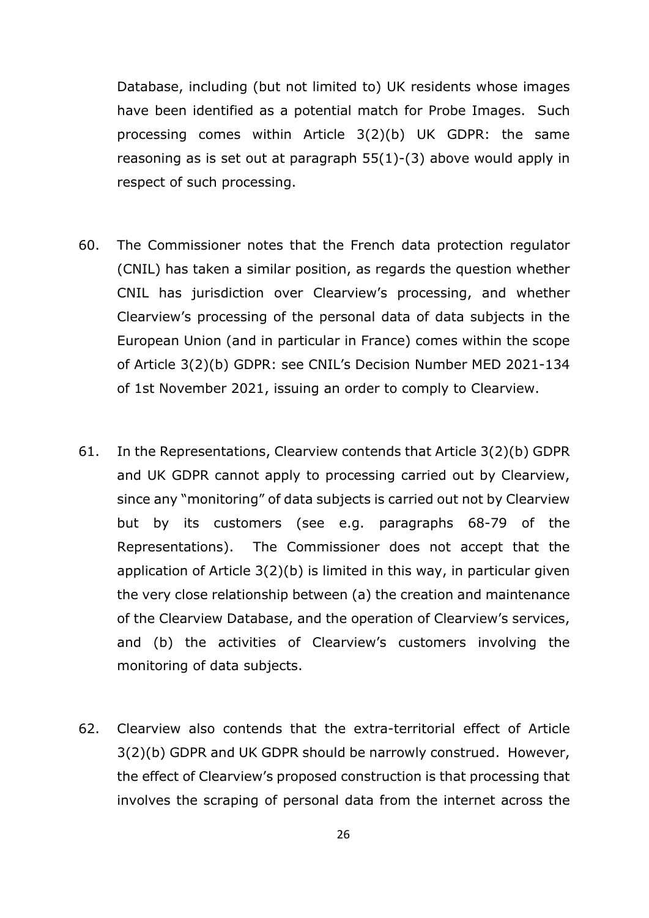Database, including (but not limited to) UK residents whose images have been identified as a potential match for Probe Images. Such processing comes within Article 3(2)(b) UK GDPR: the same reasoning as is set out at paragraph 55(1)-(3) above would apply in respect of such processing.

- 60. The Commissioner notes that the French data protection regulator (CNIL) has taken a similar position, as regards the question whether CNIL has jurisdiction over Clearview's processing, and whether Clearview's processing of the personal data of data subjects in the European Union (and in particular in France) comes within the scope of Article 3(2)(b) GDPR: see CNIL's Decision Number MED 2021-134 of 1st November 2021, issuing an order to comply to Clearview.
- 61. In the Representations, Clearview contends that Article 3(2)(b) GDPR and UK GDPR cannot apply to processing carried out by Clearview, since any "monitoring" of data subjects is carried out not by Clearview but by its customers (see e.g. paragraphs 68-79 of the Representations). The Commissioner does not accept that the application of Article 3(2)(b) is limited in this way, in particular given the very close relationship between (a) the creation and maintenance of the Clearview Database, and the operation of Clearview's services, and (b) the activities of Clearview's customers involving the monitoring of data subjects.
- 62. Clearview also contends that the extra-territorial effect of Article 3(2)(b) GDPR and UK GDPR should be narrowly construed. However, the effect of Clearview's proposed construction is that processing that involves the scraping of personal data from the internet across the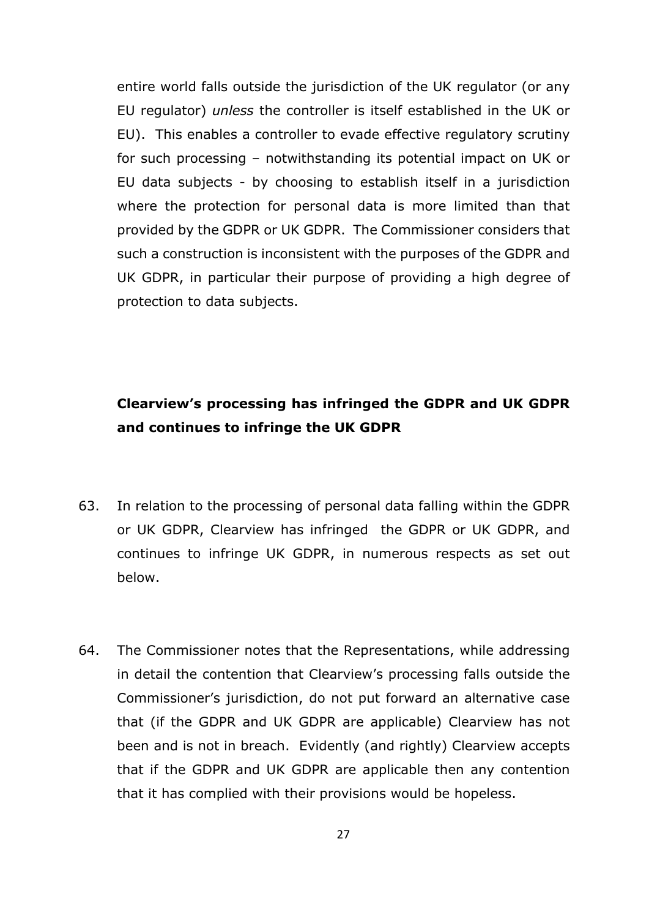entire world falls outside the jurisdiction of the UK regulator (or any EU regulator) *unless* the controller is itself established in the UK or EU). This enables a controller to evade effective regulatory scrutiny for such processing – notwithstanding its potential impact on UK or EU data subjects - by choosing to establish itself in a jurisdiction where the protection for personal data is more limited than that provided by the GDPR or UK GDPR. The Commissioner considers that such a construction is inconsistent with the purposes of the GDPR and UK GDPR, in particular their purpose of providing a high degree of protection to data subjects.

## **Clearview's processing has infringed the GDPR and UK GDPR and continues to infringe the UK GDPR**

- 63. In relation to the processing of personal data falling within the GDPR or UK GDPR, Clearview has infringed the GDPR or UK GDPR, and continues to infringe UK GDPR, in numerous respects as set out below.
- 64. The Commissioner notes that the Representations, while addressing in detail the contention that Clearview's processing falls outside the Commissioner's jurisdiction, do not put forward an alternative case that (if the GDPR and UK GDPR are applicable) Clearview has not been and is not in breach. Evidently (and rightly) Clearview accepts that if the GDPR and UK GDPR are applicable then any contention that it has complied with their provisions would be hopeless.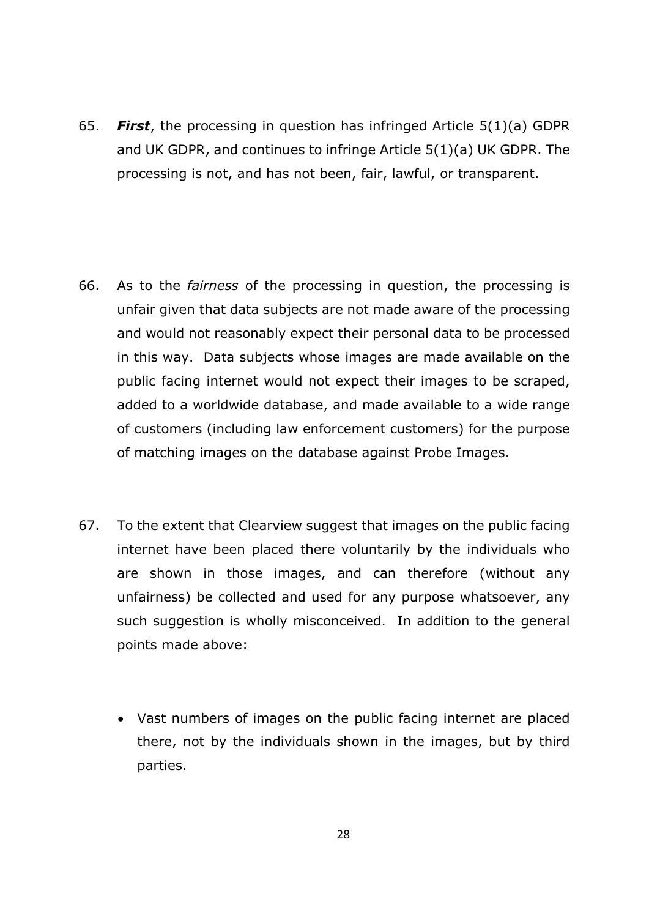65. *First*, the processing in question has infringed Article 5(1)(a) GDPR and UK GDPR, and continues to infringe Article 5(1)(a) UK GDPR. The processing is not, and has not been, fair, lawful, or transparent.

- 66. As to the *fairness* of the processing in question, the processing is unfair given that data subjects are not made aware of the processing and would not reasonably expect their personal data to be processed in this way. Data subjects whose images are made available on the public facing internet would not expect their images to be scraped, added to a worldwide database, and made available to a wide range of customers (including law enforcement customers) for the purpose of matching images on the database against Probe Images.
- 67. To the extent that Clearview suggest that images on the public facing internet have been placed there voluntarily by the individuals who are shown in those images, and can therefore (without any unfairness) be collected and used for any purpose whatsoever, any such suggestion is wholly misconceived. In addition to the general points made above:
	- Vast numbers of images on the public facing internet are placed there, not by the individuals shown in the images, but by third parties.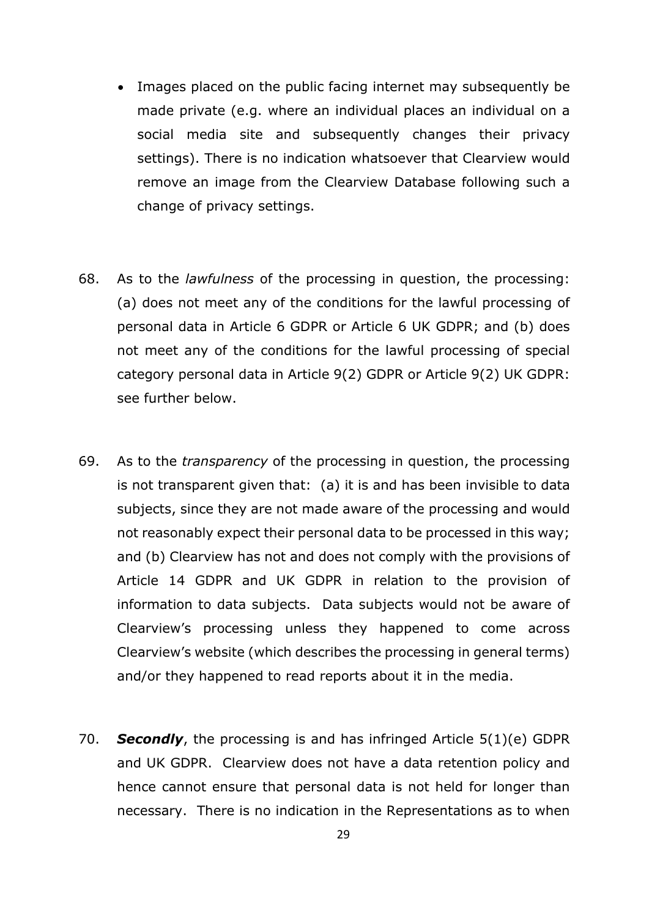- Images placed on the public facing internet may subsequently be made private (e.g. where an individual places an individual on a social media site and subsequently changes their privacy settings). There is no indication whatsoever that Clearview would remove an image from the Clearview Database following such a change of privacy settings.
- 68. As to the *lawfulness* of the processing in question, the processing: (a) does not meet any of the conditions for the lawful processing of personal data in Article 6 GDPR or Article 6 UK GDPR; and (b) does not meet any of the conditions for the lawful processing of special category personal data in Article 9(2) GDPR or Article 9(2) UK GDPR: see further below.
- 69. As to the *transparency* of the processing in question, the processing is not transparent given that: (a) it is and has been invisible to data subjects, since they are not made aware of the processing and would not reasonably expect their personal data to be processed in this way; and (b) Clearview has not and does not comply with the provisions of Article 14 GDPR and UK GDPR in relation to the provision of information to data subjects. Data subjects would not be aware of Clearview's processing unless they happened to come across Clearview's website (which describes the processing in general terms) and/or they happened to read reports about it in the media.
- 70. *Secondly*, the processing is and has infringed Article 5(1)(e) GDPR and UK GDPR. Clearview does not have a data retention policy and hence cannot ensure that personal data is not held for longer than necessary. There is no indication in the Representations as to when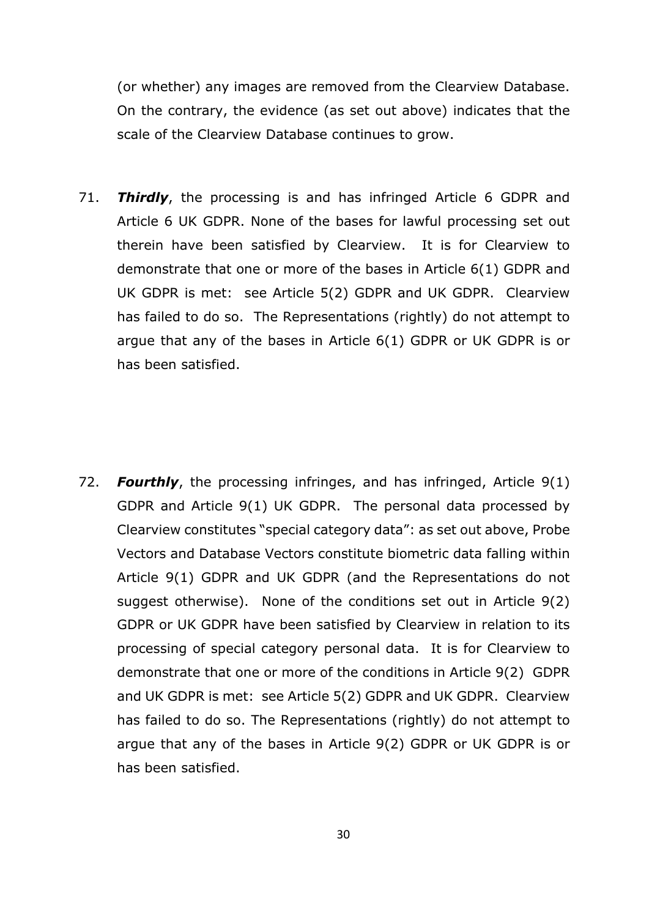(or whether) any images are removed from the Clearview Database. On the contrary, the evidence (as set out above) indicates that the scale of the Clearview Database continues to grow.

71. *Thirdly*, the processing is and has infringed Article 6 GDPR and Article 6 UK GDPR. None of the bases for lawful processing set out therein have been satisfied by Clearview. It is for Clearview to demonstrate that one or more of the bases in Article 6(1) GDPR and UK GDPR is met: see Article 5(2) GDPR and UK GDPR. Clearview has failed to do so. The Representations (rightly) do not attempt to argue that any of the bases in Article 6(1) GDPR or UK GDPR is or has been satisfied.

72. *Fourthly*, the processing infringes, and has infringed, Article 9(1) GDPR and Article 9(1) UK GDPR. The personal data processed by Clearview constitutes "special category data": as set out above, Probe Vectors and Database Vectors constitute biometric data falling within Article 9(1) GDPR and UK GDPR (and the Representations do not suggest otherwise). None of the conditions set out in Article 9(2) GDPR or UK GDPR have been satisfied by Clearview in relation to its processing of special category personal data. It is for Clearview to demonstrate that one or more of the conditions in Article 9(2) GDPR and UK GDPR is met: see Article 5(2) GDPR and UK GDPR. Clearview has failed to do so. The Representations (rightly) do not attempt to argue that any of the bases in Article 9(2) GDPR or UK GDPR is or has been satisfied.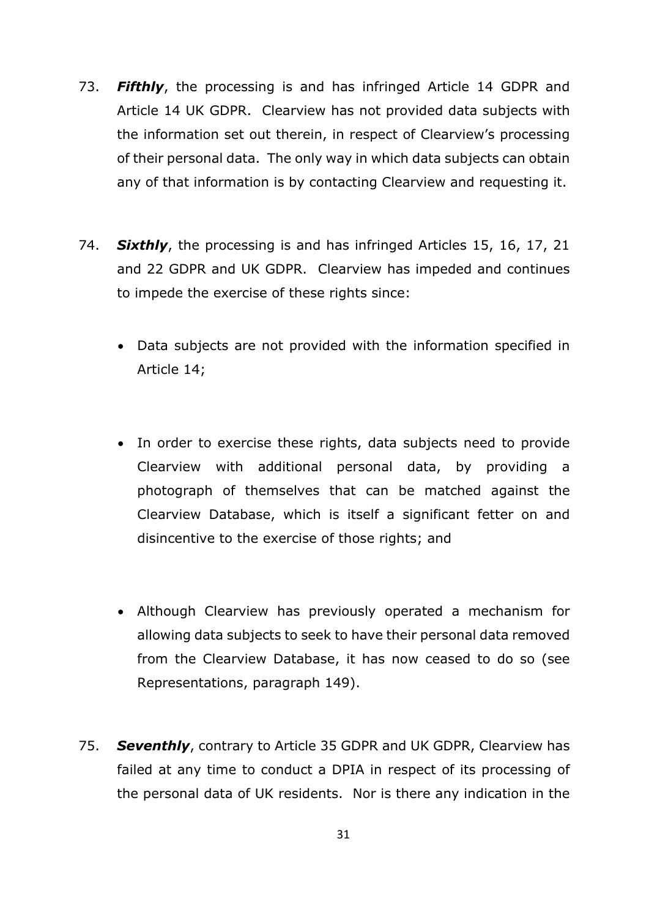- 73. *Fifthly*, the processing is and has infringed Article 14 GDPR and Article 14 UK GDPR. Clearview has not provided data subjects with the information set out therein, in respect of Clearview's processing of their personal data. The only way in which data subjects can obtain any of that information is by contacting Clearview and requesting it.
- 74. *Sixthly*, the processing is and has infringed Articles 15, 16, 17, 21 and 22 GDPR and UK GDPR. Clearview has impeded and continues to impede the exercise of these rights since:
	- Data subjects are not provided with the information specified in Article 14;
	- In order to exercise these rights, data subjects need to provide Clearview with additional personal data, by providing a photograph of themselves that can be matched against the Clearview Database, which is itself a significant fetter on and disincentive to the exercise of those rights; and
	- Although Clearview has previously operated a mechanism for allowing data subjects to seek to have their personal data removed from the Clearview Database, it has now ceased to do so (see Representations, paragraph 149).
- 75. *Seventhly*, contrary to Article 35 GDPR and UK GDPR, Clearview has failed at any time to conduct a DPIA in respect of its processing of the personal data of UK residents. Nor is there any indication in the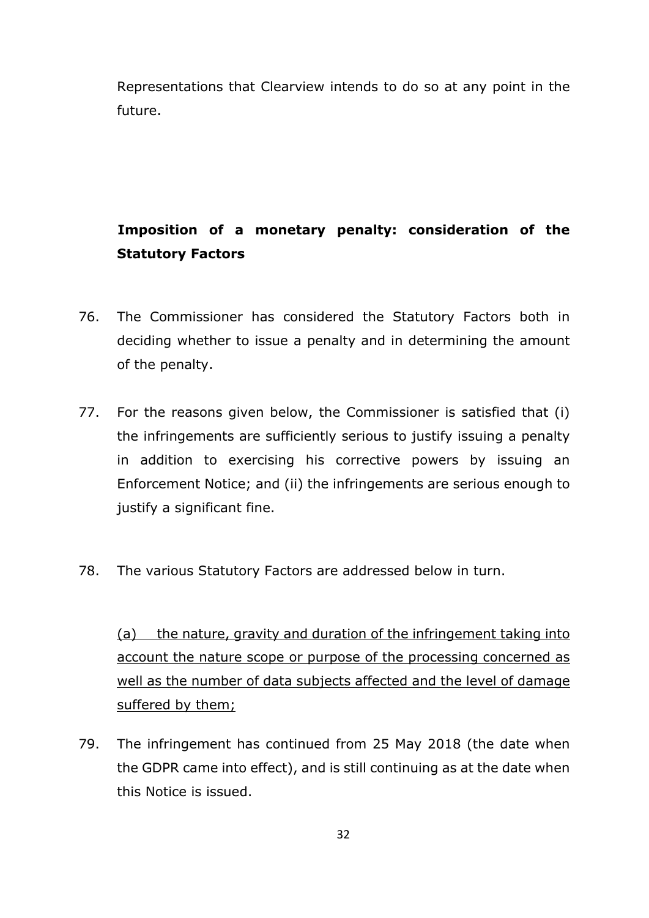Representations that Clearview intends to do so at any point in the future.

# **Imposition of a monetary penalty: consideration of the Statutory Factors**

- 76. The Commissioner has considered the Statutory Factors both in deciding whether to issue a penalty and in determining the amount of the penalty.
- 77. For the reasons given below, the Commissioner is satisfied that (i) the infringements are sufficiently serious to justify issuing a penalty in addition to exercising his corrective powers by issuing an Enforcement Notice; and (ii) the infringements are serious enough to justify a significant fine.
- 78. The various Statutory Factors are addressed below in turn.

(a) the nature, gravity and duration of the infringement taking into account the nature scope or purpose of the processing concerned as well as the number of data subjects affected and the level of damage suffered by them;

79. The infringement has continued from 25 May 2018 (the date when the GDPR came into effect), and is still continuing as at the date when this Notice is issued.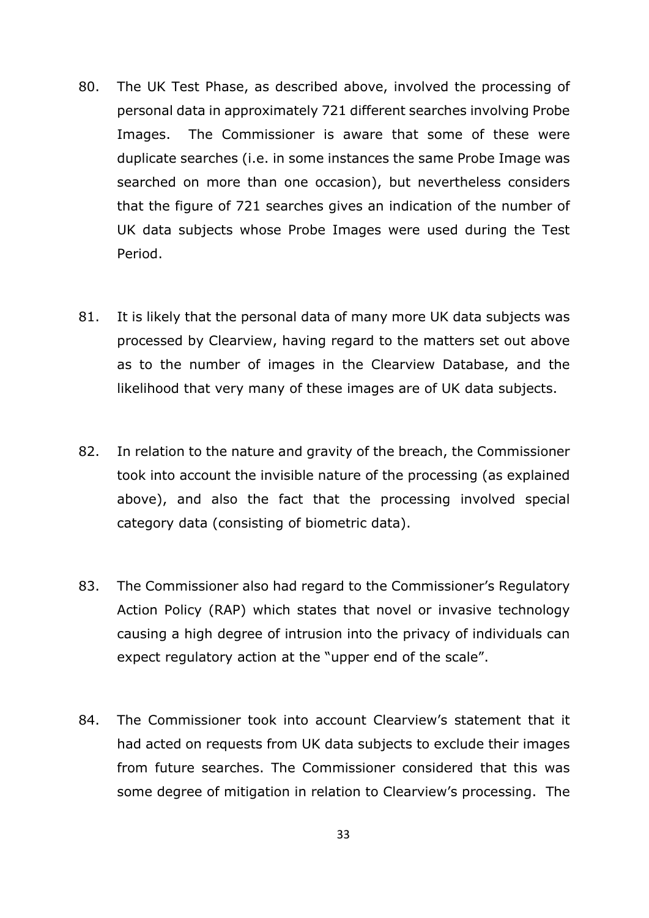- 80. The UK Test Phase, as described above, involved the processing of personal data in approximately 721 different searches involving Probe Images. The Commissioner is aware that some of these were duplicate searches (i.e. in some instances the same Probe Image was searched on more than one occasion), but nevertheless considers that the figure of 721 searches gives an indication of the number of UK data subjects whose Probe Images were used during the Test Period.
- 81. It is likely that the personal data of many more UK data subjects was processed by Clearview, having regard to the matters set out above as to the number of images in the Clearview Database, and the likelihood that very many of these images are of UK data subjects.
- 82. In relation to the nature and gravity of the breach, the Commissioner took into account the invisible nature of the processing (as explained above), and also the fact that the processing involved special category data (consisting of biometric data).
- 83. The Commissioner also had regard to the Commissioner's Regulatory Action Policy (RAP) which states that novel or invasive technology causing a high degree of intrusion into the privacy of individuals can expect regulatory action at the "upper end of the scale".
- 84. The Commissioner took into account Clearview's statement that it had acted on requests from UK data subjects to exclude their images from future searches. The Commissioner considered that this was some degree of mitigation in relation to Clearview's processing. The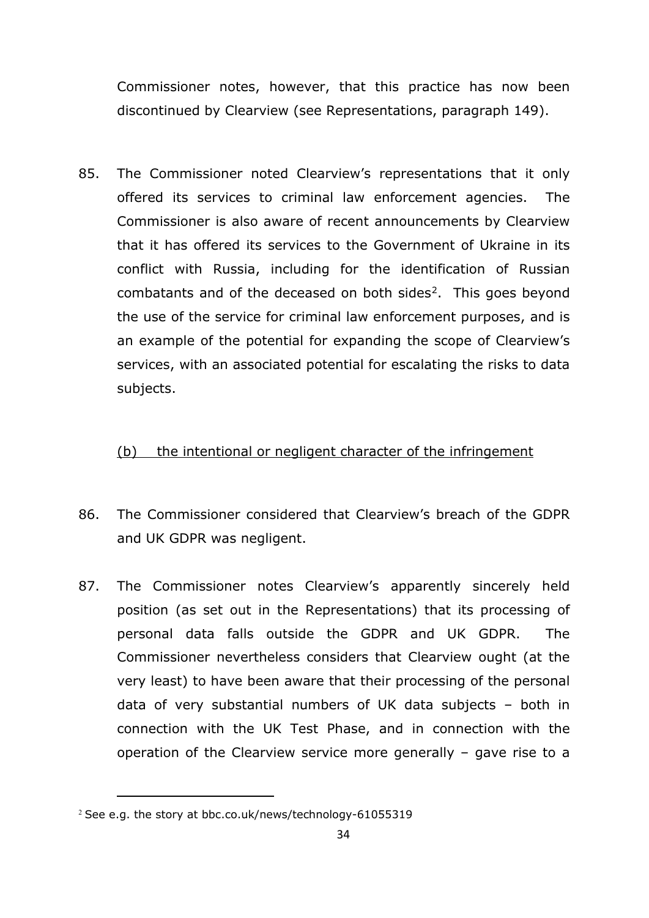Commissioner notes, however, that this practice has now been discontinued by Clearview (see Representations, paragraph 149).

85. The Commissioner noted Clearview's representations that it only offered its services to criminal law enforcement agencies. The Commissioner is also aware of recent announcements by Clearview that it has offered its services to the Government of Ukraine in its conflict with Russia, including for the identification of Russian combatants and of the deceased on both sides<sup>[2](#page-33-0)</sup>. This goes beyond the use of the service for criminal law enforcement purposes, and is an example of the potential for expanding the scope of Clearview's services, with an associated potential for escalating the risks to data subjects.

### (b) the intentional or negligent character of the infringement

- 86. The Commissioner considered that Clearview's breach of the GDPR and UK GDPR was negligent.
- 87. The Commissioner notes Clearview's apparently sincerely held position (as set out in the Representations) that its processing of personal data falls outside the GDPR and UK GDPR. The Commissioner nevertheless considers that Clearview ought (at the very least) to have been aware that their processing of the personal data of very substantial numbers of UK data subjects – both in connection with the UK Test Phase, and in connection with the operation of the Clearview service more generally – gave rise to a

<span id="page-33-0"></span><sup>2</sup> See e.g. the story at bbc.co.uk/news/technology-61055319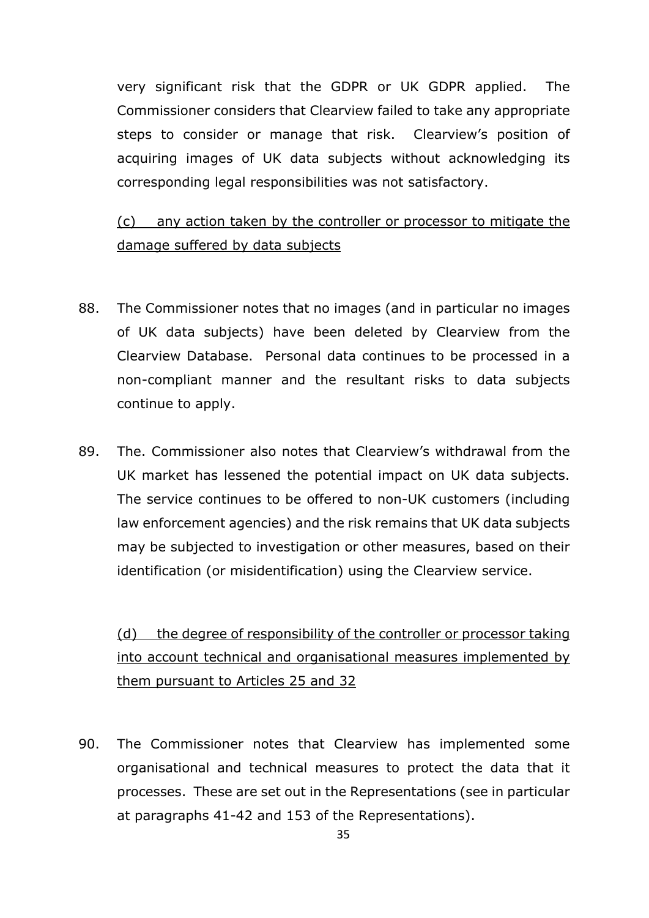very significant risk that the GDPR or UK GDPR applied. The Commissioner considers that Clearview failed to take any appropriate steps to consider or manage that risk. Clearview's position of acquiring images of UK data subjects without acknowledging its corresponding legal responsibilities was not satisfactory.

(c) any action taken by the controller or processor to mitigate the damage suffered by data subjects

- 88. The Commissioner notes that no images (and in particular no images of UK data subjects) have been deleted by Clearview from the Clearview Database. Personal data continues to be processed in a non-compliant manner and the resultant risks to data subjects continue to apply.
- 89. The. Commissioner also notes that Clearview's withdrawal from the UK market has lessened the potential impact on UK data subjects. The service continues to be offered to non-UK customers (including law enforcement agencies) and the risk remains that UK data subjects may be subjected to investigation or other measures, based on their identification (or misidentification) using the Clearview service.

(d) the degree of responsibility of the controller or processor taking into account technical and organisational measures implemented by them pursuant to Articles 25 and 32

90. The Commissioner notes that Clearview has implemented some organisational and technical measures to protect the data that it processes. These are set out in the Representations (see in particular at paragraphs 41-42 and 153 of the Representations).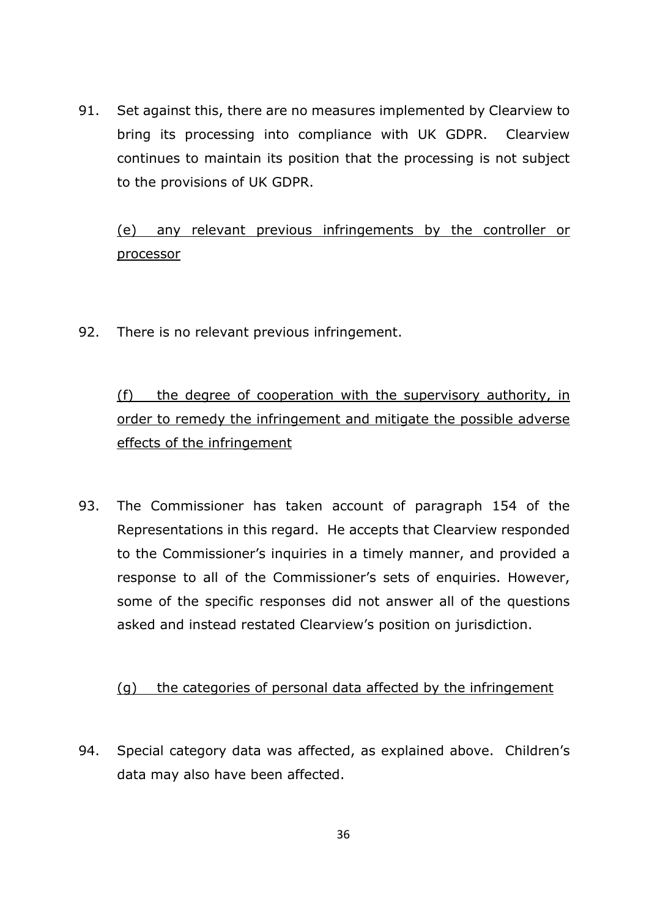91. Set against this, there are no measures implemented by Clearview to bring its processing into compliance with UK GDPR. Clearview continues to maintain its position that the processing is not subject to the provisions of UK GDPR.

(e) any relevant previous infringements by the controller or processor

92. There is no relevant previous infringement.

(f) the degree of cooperation with the supervisory authority, in order to remedy the infringement and mitigate the possible adverse effects of the infringement

93. The Commissioner has taken account of paragraph 154 of the Representations in this regard. He accepts that Clearview responded to the Commissioner's inquiries in a timely manner, and provided a response to all of the Commissioner's sets of enquiries. However, some of the specific responses did not answer all of the questions asked and instead restated Clearview's position on jurisdiction.

### (g) the categories of personal data affected by the infringement

94. Special category data was affected, as explained above. Children's data may also have been affected.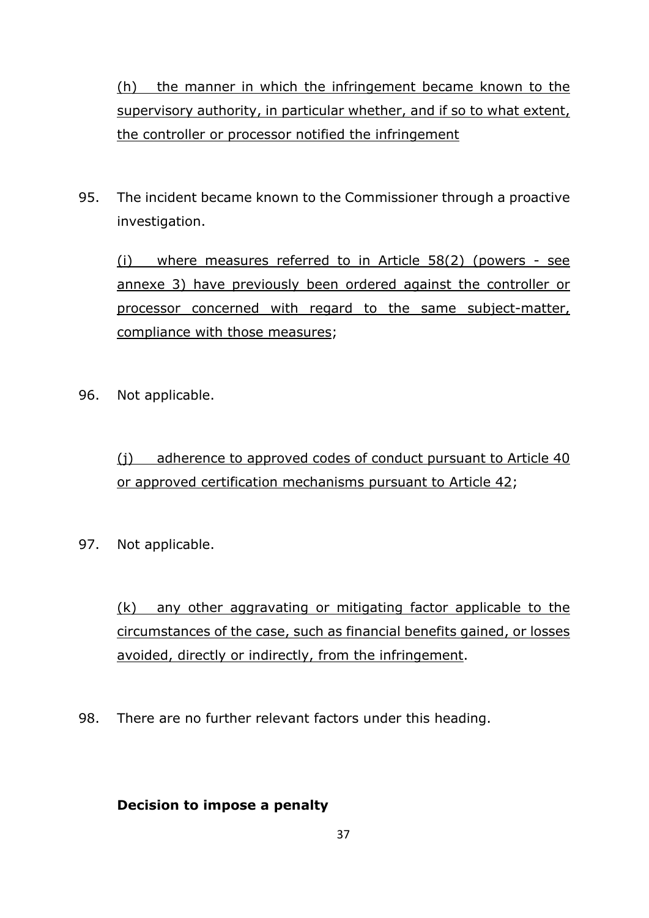(h) the manner in which the infringement became known to the supervisory authority, in particular whether, and if so to what extent, the controller or processor notified the infringement

95. The incident became known to the Commissioner through a proactive investigation.

(i) where measures referred to in Article 58(2) (powers - see annexe 3) have previously been ordered against the controller or processor concerned with regard to the same subject-matter, compliance with those measures;

96. Not applicable.

(j) adherence to approved codes of conduct pursuant to Article 40 or approved certification mechanisms pursuant to Article 42;

97. Not applicable.

(k) any other aggravating or mitigating factor applicable to the circumstances of the case, such as financial benefits gained, or losses avoided, directly or indirectly, from the infringement.

98. There are no further relevant factors under this heading.

### **Decision to impose a penalty**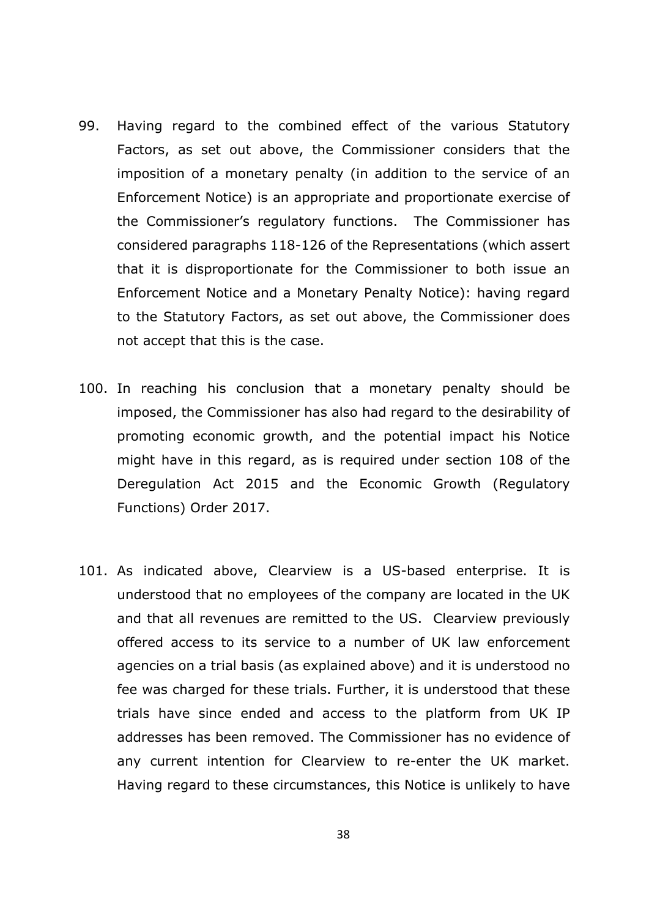- 99. Having regard to the combined effect of the various Statutory Factors, as set out above, the Commissioner considers that the imposition of a monetary penalty (in addition to the service of an Enforcement Notice) is an appropriate and proportionate exercise of the Commissioner's regulatory functions. The Commissioner has considered paragraphs 118-126 of the Representations (which assert that it is disproportionate for the Commissioner to both issue an Enforcement Notice and a Monetary Penalty Notice): having regard to the Statutory Factors, as set out above, the Commissioner does not accept that this is the case.
- 100. In reaching his conclusion that a monetary penalty should be imposed, the Commissioner has also had regard to the desirability of promoting economic growth, and the potential impact his Notice might have in this regard, as is required under section 108 of the Deregulation Act 2015 and the Economic Growth (Regulatory Functions) Order 2017.
- 101. As indicated above, Clearview is a US-based enterprise. It is understood that no employees of the company are located in the UK and that all revenues are remitted to the US. Clearview previously offered access to its service to a number of UK law enforcement agencies on a trial basis (as explained above) and it is understood no fee was charged for these trials. Further, it is understood that these trials have since ended and access to the platform from UK IP addresses has been removed. The Commissioner has no evidence of any current intention for Clearview to re-enter the UK market. Having regard to these circumstances, this Notice is unlikely to have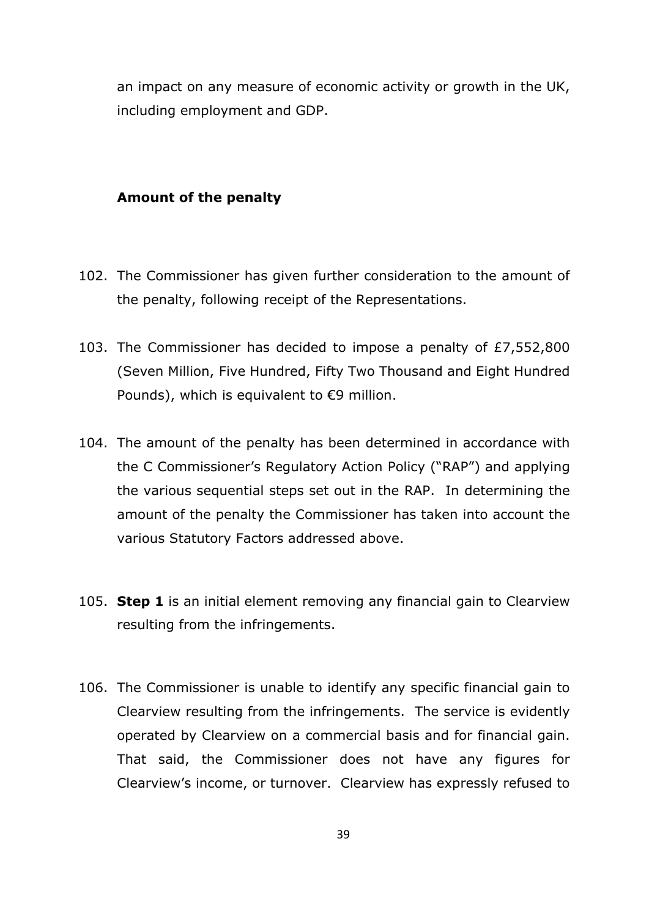an impact on any measure of economic activity or growth in the UK, including employment and GDP.

#### **Amount of the penalty**

- 102. The Commissioner has given further consideration to the amount of the penalty, following receipt of the Representations.
- 103. The Commissioner has decided to impose a penalty of £7,552,800 (Seven Million, Five Hundred, Fifty Two Thousand and Eight Hundred Pounds), which is equivalent to  $\epsilon$ 9 million.
- 104. The amount of the penalty has been determined in accordance with the C Commissioner's Regulatory Action Policy ("RAP") and applying the various sequential steps set out in the RAP. In determining the amount of the penalty the Commissioner has taken into account the various Statutory Factors addressed above.
- 105. **Step 1** is an initial element removing any financial gain to Clearview resulting from the infringements.
- 106. The Commissioner is unable to identify any specific financial gain to Clearview resulting from the infringements. The service is evidently operated by Clearview on a commercial basis and for financial gain. That said, the Commissioner does not have any figures for Clearview's income, or turnover. Clearview has expressly refused to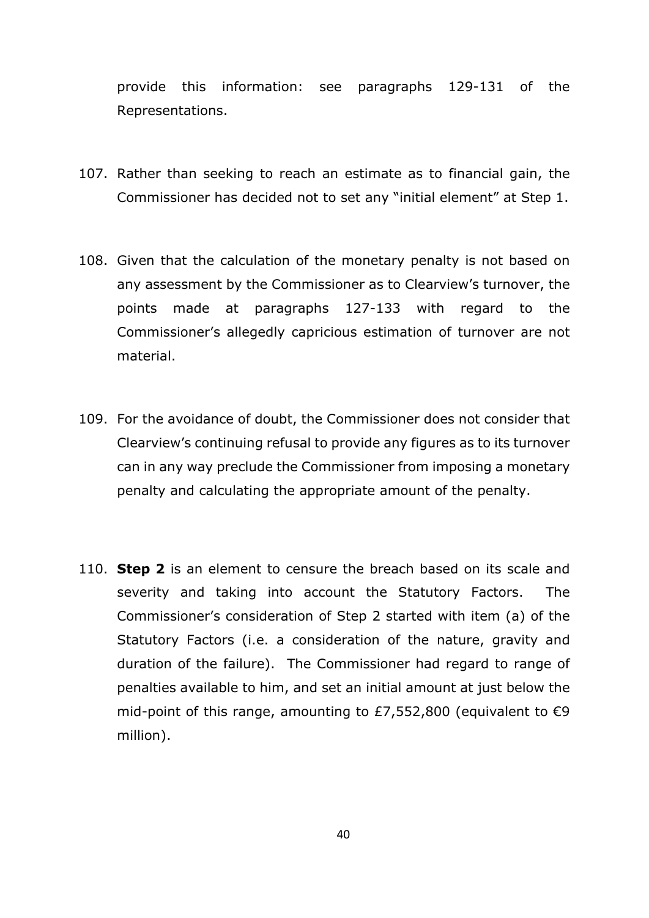provide this information: see paragraphs 129-131 of the Representations.

- 107. Rather than seeking to reach an estimate as to financial gain, the Commissioner has decided not to set any "initial element" at Step 1.
- 108. Given that the calculation of the monetary penalty is not based on any assessment by the Commissioner as to Clearview's turnover, the points made at paragraphs 127-133 with regard to the Commissioner's allegedly capricious estimation of turnover are not material.
- 109. For the avoidance of doubt, the Commissioner does not consider that Clearview's continuing refusal to provide any figures as to its turnover can in any way preclude the Commissioner from imposing a monetary penalty and calculating the appropriate amount of the penalty.
- 110. **Step 2** is an element to censure the breach based on its scale and severity and taking into account the Statutory Factors. The Commissioner's consideration of Step 2 started with item (a) of the Statutory Factors (i.e. a consideration of the nature, gravity and duration of the failure). The Commissioner had regard to range of penalties available to him, and set an initial amount at just below the mid-point of this range, amounting to £7,552,800 (equivalent to  $\epsilon$ 9 million).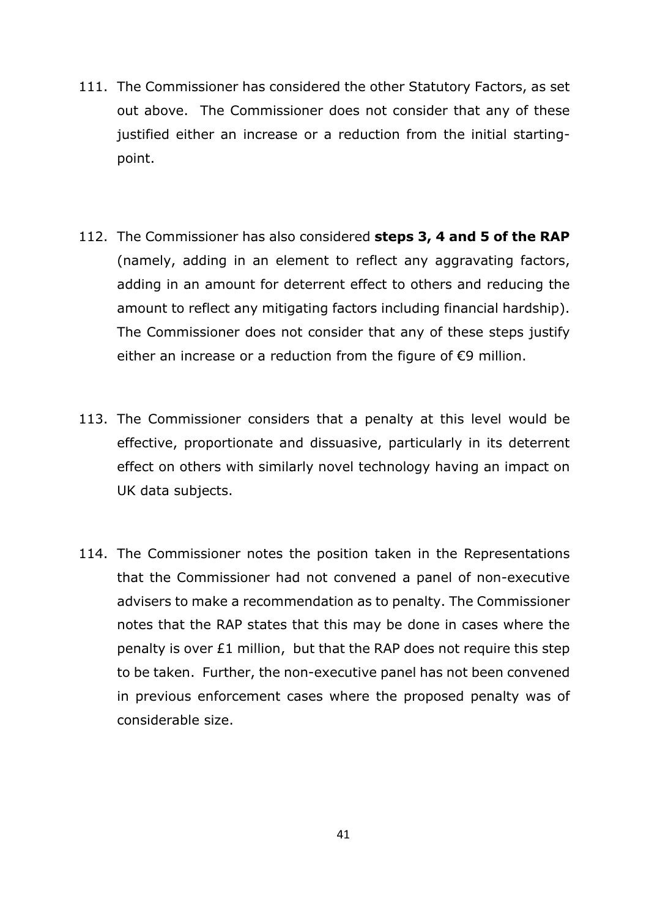- 111. The Commissioner has considered the other Statutory Factors, as set out above. The Commissioner does not consider that any of these justified either an increase or a reduction from the initial startingpoint.
- 112. The Commissioner has also considered **steps 3, 4 and 5 of the RAP** (namely, adding in an element to reflect any aggravating factors, adding in an amount for deterrent effect to others and reducing the amount to reflect any mitigating factors including financial hardship). The Commissioner does not consider that any of these steps justify either an increase or a reduction from the figure of  $\epsilon$ 9 million.
- 113. The Commissioner considers that a penalty at this level would be effective, proportionate and dissuasive, particularly in its deterrent effect on others with similarly novel technology having an impact on UK data subjects.
- 114. The Commissioner notes the position taken in the Representations that the Commissioner had not convened a panel of non-executive advisers to make a recommendation as to penalty. The Commissioner notes that the RAP states that this may be done in cases where the penalty is over £1 million, but that the RAP does not require this step to be taken. Further, the non-executive panel has not been convened in previous enforcement cases where the proposed penalty was of considerable size.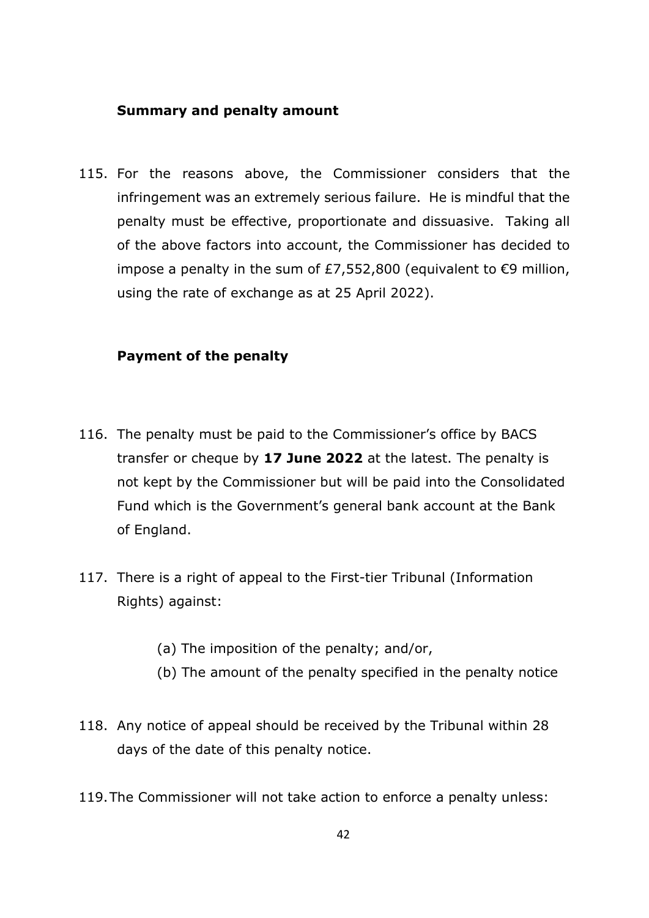### **Summary and penalty amount**

115. For the reasons above, the Commissioner considers that the infringement was an extremely serious failure. He is mindful that the penalty must be effective, proportionate and dissuasive. Taking all of the above factors into account, the Commissioner has decided to impose a penalty in the sum of £7,552,800 (equivalent to  $\epsilon$ 9 million, using the rate of exchange as at 25 April 2022).

### **Payment of the penalty**

- 116. The penalty must be paid to the Commissioner's office by BACS transfer or cheque by **17 June 2022** at the latest. The penalty is not kept by the Commissioner but will be paid into the Consolidated Fund which is the Government's general bank account at the Bank of England.
- 117. There is a right of appeal to the First-tier Tribunal (Information Rights) against:
	- (a) The imposition of the penalty; and/or,
	- (b) The amount of the penalty specified in the penalty notice
- 118. Any notice of appeal should be received by the Tribunal within 28 days of the date of this penalty notice.
- 119.The Commissioner will not take action to enforce a penalty unless: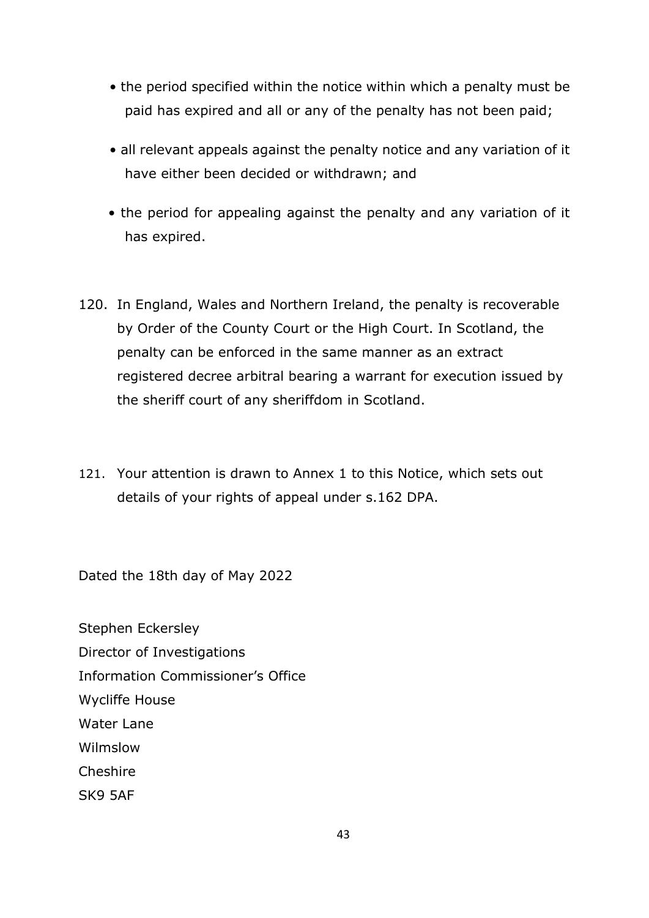- the period specified within the notice within which a penalty must be paid has expired and all or any of the penalty has not been paid;
- all relevant appeals against the penalty notice and any variation of it have either been decided or withdrawn; and
- the period for appealing against the penalty and any variation of it has expired.
- 120. In England, Wales and Northern Ireland, the penalty is recoverable by Order of the County Court or the High Court. In Scotland, the penalty can be enforced in the same manner as an extract registered decree arbitral bearing a warrant for execution issued by the sheriff court of any sheriffdom in Scotland.
- 121. Your attention is drawn to Annex 1 to this Notice, which sets out details of your rights of appeal under s.162 DPA.

Dated the 18th day of May 2022

Stephen Eckersley Director of Investigations Information Commissioner's Office Wycliffe House Water Lane Wilmslow Cheshire SK9 5AF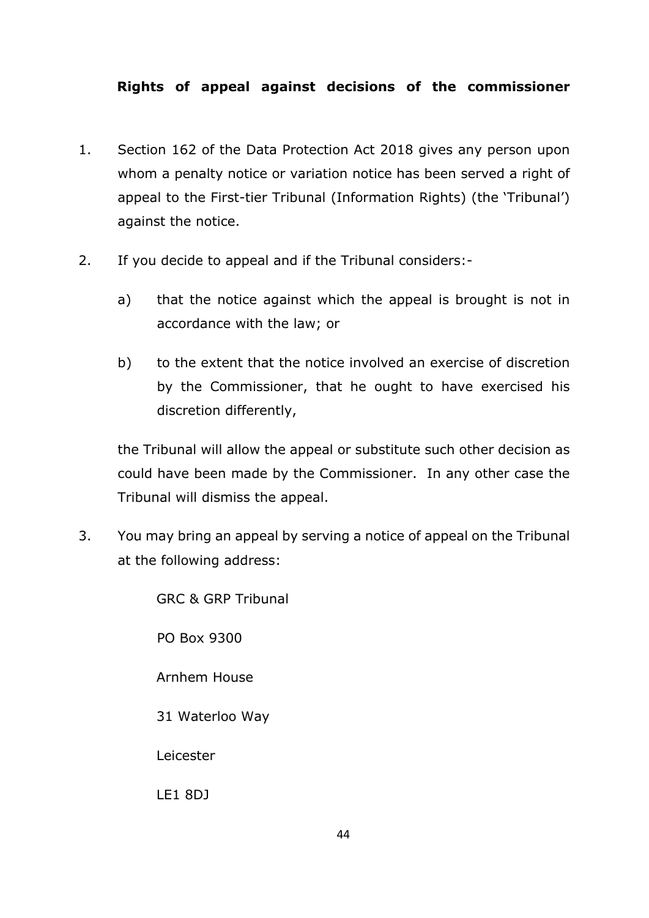### **Rights of appeal against decisions of the commissioner**

- 1. Section 162 of the Data Protection Act 2018 gives any person upon whom a penalty notice or variation notice has been served a right of appeal to the First-tier Tribunal (Information Rights) (the 'Tribunal') against the notice.
- 2. If you decide to appeal and if the Tribunal considers:
	- a) that the notice against which the appeal is brought is not in accordance with the law; or
	- b) to the extent that the notice involved an exercise of discretion by the Commissioner, that he ought to have exercised his discretion differently,

the Tribunal will allow the appeal or substitute such other decision as could have been made by the Commissioner. In any other case the Tribunal will dismiss the appeal.

3. You may bring an appeal by serving a notice of appeal on the Tribunal at the following address:

> GRC & GRP Tribunal PO Box 9300 Arnhem House 31 Waterloo Way Leicester LE1 8DJ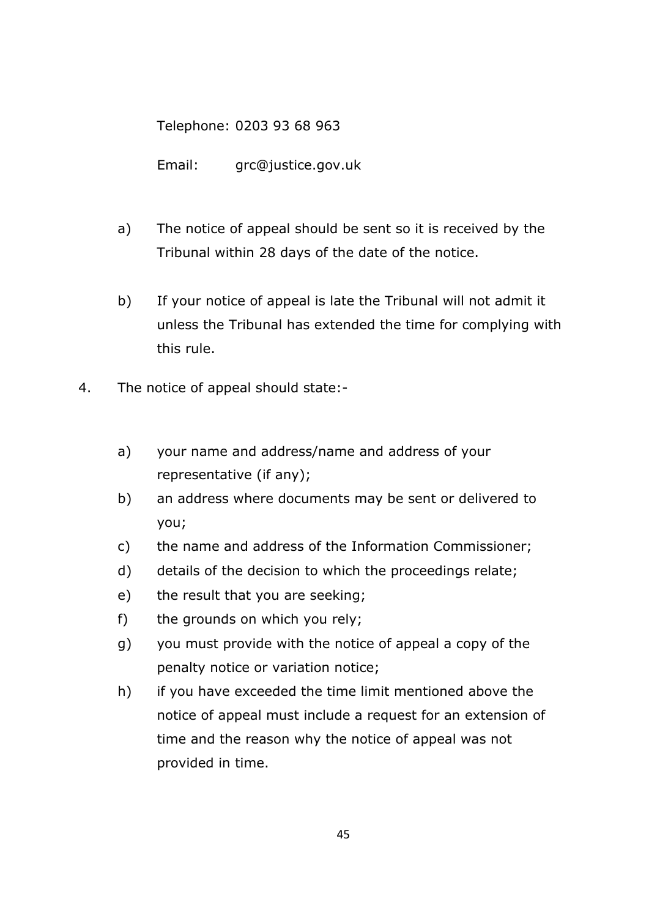Telephone: 0203 93 68 963

Email: [grc@justice.gov.uk](mailto:grc@justice.gov.uk)

- a) The notice of appeal should be sent so it is received by the Tribunal within 28 days of the date of the notice.
- b) If your notice of appeal is late the Tribunal will not admit it unless the Tribunal has extended the time for complying with this rule.
- 4. The notice of appeal should state:
	- a) your name and address/name and address of your representative (if any);
	- b) an address where documents may be sent or delivered to you;
	- c) the name and address of the Information Commissioner;
	- d) details of the decision to which the proceedings relate;
	- e) the result that you are seeking;
	- f) the grounds on which you rely;
	- g) you must provide with the notice of appeal a copy of the penalty notice or variation notice;
	- h) if you have exceeded the time limit mentioned above the notice of appeal must include a request for an extension of time and the reason why the notice of appeal was not provided in time.